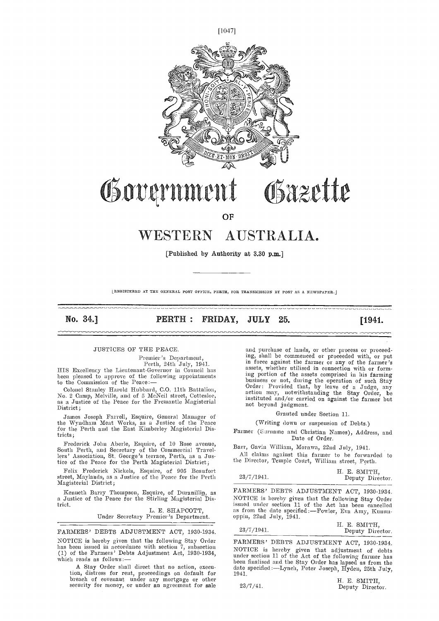

# Governmer  $\sqrt{4}$ Osazette

**OF** 

# WESTERN AUSTRALIA.

[Published by Authority at 3.30 p.m.]

LREGISTERED AT THE GENERAL POST OFFICE, PERTH, FOR TRANSMISSION BY POST AS A NEWSPAPER.

No. 34.] **PERTH: FRIDAY, JULY 25.** [1941.]

# JUSTICES OF THE PEACE.

Premier's Department,<br>Perth, 24th July, 1941.<br>HIS Excellency the Lieutenant-Governor in Council has<br>been pleased to approve of the following appointments to the Commission of the Peace :-

Colonel Stanley Harold Hubbard, C.O. 11th Battalion, No. 2 Camp, Melville, and of 5 McNeil street, Cottesloc, as a Justice of the Peace for the Freniantle Magisterial District;

James Joseph Farrell, Esquire, General Manager of the Wyadham Meat Works, as a Justice of the Peace for the Perth and the East Kimberlev Magisterial Districts;

Frederick John Aberle, Esquire, of 10 Rose avenue, South Perth, and Secretary of the Commercial Travellers' Association, St. George's terrace, Perth, as a Justice of the Peace for the Perth Magisterial District;

Felix Frederick Nickels, Esquire, of 905 Beaufort street, Maylands, as a Justice of the Peace for the Perth Magisterial District;

Kenneth Barry Thompson, Esquire, of Duranillin, as a Justice of the Peace for the Stirling Magisterial District.

L. E. SHAPCOTT, Under Secretary Premier's Department.

FARMERS' DEBTS ADJUSTMENT ACT, 1930-1934. NOTICE is hereby given that the following Stay Order has been issued in accordance with section 7, subsection (1) of the Farmers' Debts Adjustment Act, 1930-1934, which reads as follows:

A Stay Order shall direct that no action, execn-A Stay Order shall direct that no action, execu-<br>tion, distress for rent, proceedings on default for 1941.<br>breach of covenant under any mortgage or other H. E. SMITH,<br>security for money, or under an agreement for sale 23/7

and purchase of lands, or other process or proceed-<br>ing, shall be commenced or proceeded with, or put in force against the farmer or any of the farmer's assets, whether utilised in connection with or forming portion of the assets comprised in his farming business or not, during the operation of such Stay<br>Order: Provided that, by leave of a Judge, any action may, notwithstanding the Stay Order, be instituted and/or carried on against the farmer but not beyond judgment.

Granted under Section 11.

(Writing down or suspension of Debts.)

Farmer (Surname and Christian Names), Address, and Date of Order.

Barr, Gavin William, Morawa, 22nd July, 1941.

All claims against this farmer to be forwarded to the Director, Temple Court, William street, Perth.

| 23/7/1941. | H. E. SMITH,<br>Deputy Director. |
|------------|----------------------------------|
|            |                                  |

FARMERS' DEBTS ADJUSTMENT ACT, 1930-1934. NOTICE is hereby given that the following Stay Order issued under section 11 of the Act has been cancelled as from the date specified :--Fowler, Eva Amy, Kunun-<br>oppin, 22nd July, 1941.

|            | H. E. SMITH,     |
|------------|------------------|
| 23/7/1941. | Deputy Director. |

FARMERS' DEBTS ADJUSTMENT ACT, 1930-1934. NOTICE is hereby given that adjustment of debts under section 11 of the Act of the following farmer has been finalised and the Stay Order has lapsed as from the date specified :—Lynch, Peter Joseph, Hyden, 25th July, 1941.

H. E. SMITH, Deputy Director.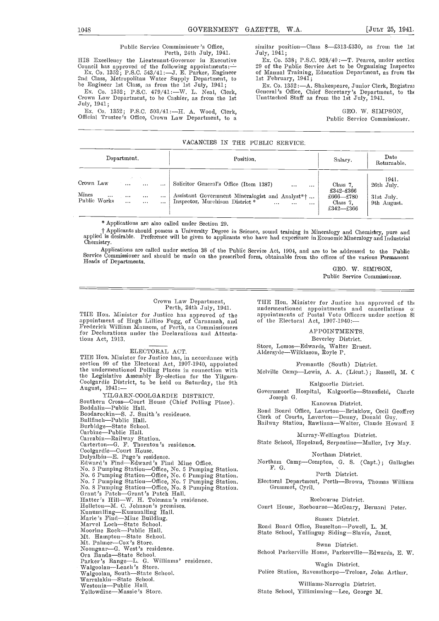# Public Service Commissioner's Office,

Perth, 24th July, 1941.<br>HIS Excellency the Lientenant-Governor in Executive Houncil has approved of the following appointments:  $\frac{1}{29}$  of the Public Service Act to be Organising Inspector<br>Ex. Co. 1352; P.S.C. 543/41 :--J. E. Parker, Engineer and Class, Metropolitan Water Supply Department, to

he Engineer 1st Class, as from the 1st July, 1941;<br>Ex. Co. 1352; P.S.C. 479/41 :—W. L. Neal, Clerk, Crown Law Department, to he Cashier, as from the 1st July, 1941;

Ex. Co. 1352; P.S.C. 503/41:H. A. Wood, Clerk, Official Trustee's Office, Crown Law Department, to a similar position-Class 8-£313-£330, as from the 1st July, 1941;

Ex. Co. 538; P.S.C. 928/40 :- T. Pearce, under sectior of Manual Training, Education Department, as from the

Ex. Co. 1352:-A. Shakespeare, Junior Clerk, Registral General's Office, Clnef Secretary's Department, to th Unattached Staff as from the 1st July, 1941.

> GEO. W. SIMPSON, Public Service Commissioner.

# VACANCIES IN THE PUBLIC SERVICE.

| Department.                                                                                                                                                        | Position.                                                                                                                                                                                      | Salary.                                                                                 | Date<br>Returnable.                              |  |
|--------------------------------------------------------------------------------------------------------------------------------------------------------------------|------------------------------------------------------------------------------------------------------------------------------------------------------------------------------------------------|-----------------------------------------------------------------------------------------|--------------------------------------------------|--|
| State State<br>Crown Law<br>$\cdots$<br>$\cdots$<br>$\ddotsc$<br>Mines<br>$\cdots$<br><br>$\cdots$<br>$\cdots$<br>Public Works<br>$\cdots$<br>$\cdots$<br>$\cdots$ | Solicitor General's Office (Item 1387)<br>$\cdots$<br>$\cdots$<br>Assistant Government Mineralogist and Analyst <sup>*</sup> †<br>Inspector, Murchison District *<br>$\ddotsc$<br><br>$\cdots$ | Class 7.<br>$£342 - £366$<br>$\pounds 666$ — $\pounds 780$<br>Class 7.<br>$£342 - £366$ | 1941.<br>26th July.<br>31st July.<br>9th August. |  |

\* Applications are also called under Section 29.

† Applicants should possess a University Degree in Science, sound training in Mineralogy and Chemistry, pure and<br>applied is desirable. Preference will be given to applicants who have had experience in Economic Mineralogy

Applications are called under section 38 of the Public Service Act, 1904, and are to be addressed to the Public Service Commissioner and should be made on the prescribed form, obtainable from the offices of the various Permanent<br>Heads of Departments.

> GEO. W. SIMPSON. Public Service Commissioner.

Crown Law Department, Perth, 24th July, 1941.

appointment of Hugh Lillico Fogg, of Carnamah, and Frederick William Mansom, of Perth, as Commissioners for Declarations under the Declarations and Attestations Act, 1913.

# ELECTORAL ACT.

THE Hon. Minister for Justice has, in accordance with section 99 of the Electoral Act, 1907-1940, appointed the undermentioned Polling Places in connection with Melv the Legislative Assembly By-election for the Yilgarn-<br>Coolgardie District, to be held on Saturday, the 9th<br>August, 1941:-August, 1941:-- YILGARN-COOLGARDIE DISTRICT.

Southern Cross-Court House (Chief Polling Place).<br>Boddalin-Public Hall. Boodarockin-S. J. Smith's residence. Bullfinch-Public Hall. Burbidge-State School.<br>Carbine-Public Hall. Carrabin-Railway Station.<br>Carterton-G. F. Thornton 's residence.<br>Coolgardie-Court House. Coolgardie—Court House.<br>Dulyalbin—E. Page's residence.<br>Edward's Find—Edward's Find Mine Office. No. 5 Pumping Station—Office, No. 5 Pumping Station.<br>No. 6 Pumping Station—Office, No. 6 Pumping Station.<br>No. 7 Pumping Station—Office, No. 7 Pumping Station.<br>No. 8 Pumping Station—Office, No. 8 Pumping Station.<br>Grant's Pa Hatter's Hill-W. H. Toleman's residence. Holleton—M. C. Johnson's premises.<br>Kununalling—Kununalling Hall.<br>Marie's Find—Mine Building.<br>Marvel Loch—State School. Marie's Find—Mine Building.<br>Marie's Find—Mine Building.<br>Marvel Loch—State School.<br>Moorine Rock—Public Hall.<br>Mt. Hampton—State School. Mt. Palmer-Cox's Store.<br>Noongaar-G. West's residence. Noongaar—G. West's residence.<br>Ora Banda—State School. Parker's Range—L. G. Williams' residence.<br>Walgoolan—Leach's Store. Walgoolan—Leach's Store.<br>Walgoolan, South—State School. Warralakin-State School.<br>Westonia-Public Hall. Yellowdine-Massie's Store.

Perth, 24th July, 1941. undermentioned appointments and cancellations of THE Hon. Minister for Justice has approved of the appointments of Postal Vote Officers under section 8:<br>appointment of Hugh Lillico Fogg, of Carnamah THE Hon. Minister for Justice has approved of the appointments of Postal Vote Officers under section 8t

# APPOINTMENTS.

Beverley District.

Store, Lomos-Edwards, Walter Ernest. Aldersyde-Wilkinson, Royle P.

Fremantle (South) District.

Melville Camp-Lewis, A. A. (Lient.); Russell, M. C

Kalgoorlie District.

Government Hospital, Kalgoorlie-Stansfield, Charle<br>Joseph G.

Kanowna District.

Road Board Office, Laverton—Brinklow, Cecil Geoffrey<br>Clerk of Courts, Laverton—Denny, Donald Guy.<br>Railway Station, Rawlinna—Walter, Claude Howard E

Murray-Wellington District.

State School, Hopeland, Serpentine-Muller, Ivy May.

Northam District.

Northam Camp-Compton, G. S. (Capt.); Gallagher F. G.

Perth Distriet.

Electoral Department, Perth-Brown, Thomas William Grummet, Cyril.

IRoebourne District.

Court House, Roebourne-McGeary, Bernard Peter.

Sussex District. Road Board Office, Busselton-Powell, L. M.

State School, Yallingup Siding-Slavin, Janet.

Swan District.

School Parkerville Home, Parkerville-Edwards, E. W.

Wagin District. Police Station, Ravensthorpe-Treloar, John Arthur.

Williams-Narrogin District. State School, Yilliminning-Lee, George M.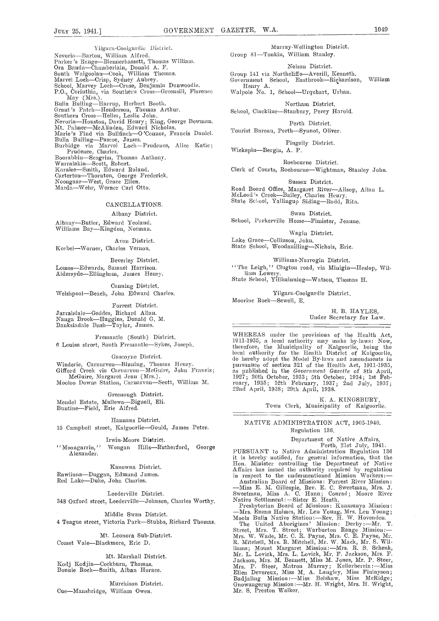Yilgarn-Coolgardie District. Nevoria---Barton, William Alfred.<br>Parker's Range---Blennerhassett, Thomas William.<br>Ora Banda---Chamberlain, Donald A. F.<br>South Walgoolan---Cook, William Thomas. South Walgoolan-Cook, William Thomas.<br>Marvel Loch-Crisp, Sydney Aubrey.<br>School, Marvey Loch-Cruse, Benjamin Dunwoodie.<br>P.O., Corinthia, via Southern Cross-Greensill, Florence<br>May (Mrs.). May (Mrs.).<br>
Bulla Bulling—Harrup, Herbert Booth.<br>
Grant's Patch—Henderson, Thomas Arthur.<br>
Southern Cross—Heller, Leslie John.<br>
Nevoria—Houston, David Henry; King, George Bowman.<br>
Mt. Palmer—McAlinden, Edward Nicholas. Nevoria—Houston, David Henry; King, George Bowman.<br>Mt. Palmer—MeAlinden, Edward Nicholas.<br>Marie's Find via Bullfinch—O 'Connor, Francis Daniel.<br>Bulla Bulling—Pascoe, James. Burbidge via Marvel LochPrudence, Mice Katie; Prudence, Charles. Boorabbin-Seagrim, Thomas Anthony.<br>Warralakin-Scott, Robert.<br>Karalee-Smith, Edward Roland.<br>Carterton-Thornton, George Frederick.<br>Noongaar-West, Grace Ellen.<br>Marda-Welu, Werner Carl Otto.

# CANCELLATIONS.

Albany District.

Albany-Butler, Edward Yeoland.<br>Williams Bay-Kingdon, Norman.

Avon District.

Korbel-Worner, Charles Vernon.

Beverley District. Lomos-Edwards, Samuel Harrison.

Aldersyde-Ellingham, James Henry.

Canning District. Welshpool-Beach, John Edward Charles.

Forrest District.

Jarrahdale—Geddes, Richard Allan.<br>Nanga Brook—Huggins, Donald G. M.<br>Banksiadale Bush—Taylor, James.

Fremantle (South) District.  $6$  Louisa street, South Fremantle-Sykes, Joseph.

Gascoyne District.

Winderie, Carnarvon—Binning, Thomas Henry.<br>Gifford Creek via Carnarvon—McGuire, John Francis; McGuire, Margaret Jean (Mrs.).<br>Mooloo Downs Station, Carnarvon—Scott, William M.

Greenough District.

Mendel Estate, Mullewa-Bignell, Eli.<br>Buntine-Field, Eric Alfred.

Hannans District.

15 Campbell street, Kalgoorlie-Gould, James Peter.

Irwin-Moore District.

''Moongarrin,'' Wongan Hills-Rutherford, George<br>Alexander have administration Regulation 136 Alexander.

Kanowna District.

Rawlinna-Duggan, Edmund James.<br>Red Lake-Duke, John Charles.

Leederville District.

348 Oxford street, Leederville-Johnson, Charles Worthy.

Middle Swan District.

4 Teague street, Victoria Park-Stubbs, Richard Thomas.

Mt. Leonora Sub-District. Comet Vale-Blackmore, Eric D.

Mt. Marshall District. Kodj Kodjin-Cockburn, Thomas.<br>Bonnie Rock-Smith, Alban Horace.

Murchison District. Cue-Mansbridge, William Owen.

Murray-Welliagton District. Group 81-Tonkin, William Stanley.

Nelson District.

Group 141 via Northcliffe—Averill, Kenneth.<br>Government School, Eastbrook—Richardson, William

Henry A. Walpole No. 1, School-Urquhart, Urban.

Northam District.

School, Clackline-Stanbury, Percy Harold.

Perth District. Tourist Bureau, Perth-Synnot, Oliver.

Pingelly District.

Wickepin-Bergin, A. P.

Roebourne District. Clerk of Courts, Roebourne-Wightman, Stanley John.

Sussex District.

Road Board Office, Margaret River—Allsop, Allan L. McLeod's Creek—Bailey, Charles Henry.<br>State School, Yallingup Siding—Rodd, Rita.

Swan District. School, Parkerville Home-Fimister, Jeanne.

Wagin District. Lake Grace—Collinson, John. State School, Woodanilling—Nichols, Eric.

Williams-Narrogin District. The Leigh," Clugton road, via Minigin-Heslop, William Lowery.<br>State School, Yilliminning—Watson, Thomas H.

Yilgarn-Coolgardie District. Moorine Rock-Sewell, E.

> H. B. HAYLES, Under Secretary for Law.

WHEREAS under the provisions of the Health Act, 1911-1935, a local authority may make by-laws: Now, therefore, the Municipality of Kalgoorlie, being the local authority for the Health District of Kalgoorlie,<br>do hereby adopt the Model By-laws and amendments in<br>pursuance of section 321 of the Health Act, 1911-1935,<br>as published in the *Government Gazette* of 8th April,<br>1927; ruarý, 1935; 12th February, 1937; 2nd July, 1937;<br>22nd April, 1938; 29th April, 1938.

> K. A. KINGSBURY, Town Clerk, Municipality of Kalgoorlie.

NATIVE ADMINISTRATION ACT, 3905-1940. Regulation 136.

Department of Native Affairs,<br>Perth, 21st July, 1941.<br>PURSUANT to Native Administration Regulation 136 it is hereby notified, for general information, that the Hon. Minister controlling the Department of Native Affairs has issued the authority required by regulation in respect to the undermentiomsed Mission Workers: Australian Board of Missions: Forrest River Mission:

—Miss E. M. Gillespie, Rev. E. C. Sweetman, Mrs. J.<br>Sweetman, Miss A. C. Hann; Conrad; Moore River<br>Native Settlement: --Sister E. Heath.

Presbyterian Board of Missions: Kunmunya Mission: —Mrs. Emma Holmes, Mr. Len Young, Mrs. Len Young;<br>Moola Bulla Native Station:—Rev. H. W. Hovenden. The United Aborigines' Mission: Derby: ---Mr. T.<br>Street, Mrs. T. Street; Warburton Range Mission: ---<br>Mrs. W. Wade, Mr. C. E. Payne, Mrs. C. E. Payne, Mr.<br>R. Mitchell, Mrs. R. Mitchell, Mr. W. Mack, Mr. S. Williams; Mount Margaret Mission: - Mrs. R. S. Schenk, Mr. L. Lovick, Mrs. L. Lovick, Mr. F. Jackson, Mrs. F.<br>Jackson, Mrs. M. Bennett, Miss M. Jones, Mr. P. Steer,<br>Mrs. P. Steer, Matron Murray; Kellerberrin:—Miss<br>Ellen Devereux, Miss M. A. Langley, Miss Finlayson; Badjaling Mission:—Miss Belshaw, Miss McRidge;<br>Gnowangerup Mission:—Mr. H. Wright, Mrs. H. Wright, Mr. S. Preston Walker.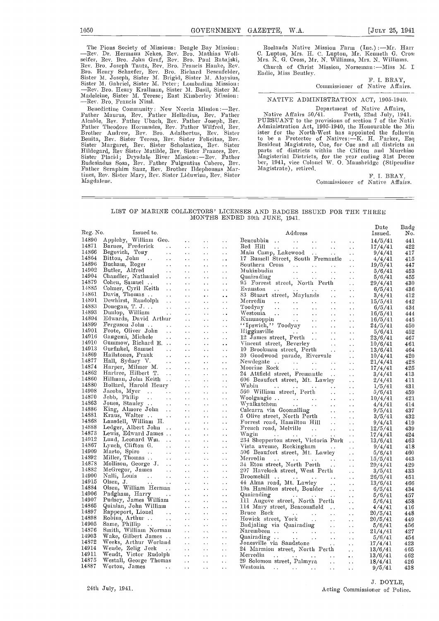The Pions Society of Missions: Beagle Bay Mission: <br>-Rev. Dr. Hermann Nekes, Rev. Bro. Mathias Woll- C.<br>seifer, Rev. Bro. John Graf, Rev. Bro. Paul Ratajski, M<br>Rev. Bro. Joseph Tautz, Rev. Bro. Francis Hanke, Rev. Bro. Henry Schaefer, Rev. Bro. Richard Besenfelder, Each<br>Sister M. Joseph, Sister M. Brigid, Sister M. Aloysius,<br>Sister M. Gabriel, Sister M. Peter; Lombadina Mission:<br>--Rev. Bro. Henry Krallman, Sister M. Basil, Sister M.

Benedictine Community: New Norcia Mission:—Rev.<br>Father Maurus, Rev. Father Helladius, Rev. Father Alcalde, Rev. Father Ubach, Rev. Father Joseph, Rev.<br>Father Theodore Hornandes, Rev. Father Wilfred, Rev. Brother Andrew, Rev. Bro. Adalbertus, Rev. Sister <br>Benita, Rev. Sister Teresa, Rev. Sister Felicitas, Rev. <br>Sister Margaret, Rev. Sister Scholastica, Rev. Sister Hildegard, Rev Sister Matilde, Rev. Sister Frances, Rev. Sister Placid; Drysdale River Mission :Rev. Father Ruclesindus Sosa, Rev. Father Fulgentius Cohere, Rev. Father Seraphim Sauz, Rev. Brother Ildeplionsus Mar-tinez, 11ev. Sister Mary, Rev. Sister Lidnwina, Rev. Sister Magdalene.

Roelands Native Mission Farm (Inc.):—Mr. Harr<br>C. Lupton, Mrs. H. C. Lupton, Mr. Kenneth G. Cros:<br>Mrs. K. G. Cross, Mr. N. Williams, Mrs. N. Williams. Church of Christ Mission, Norseman :- Miss M. I Eadie, Miss Bentley.

> F. I. BRAY, Commissioner of Native Affairs.

# NATIVE ADMINISTRATION ACT, 1905-1940.

Department of Native Affairs,<br>Native Affairs 50/41. Perth, 22nd July, 1941.<br>PURSUANT to the provisions of section 7 of the Nativ<br>Administration Act, 1905-1940, the Honourable the Min ister for the North-West has appointed the followin<br>to be a Protector of Natives:—K. H. Parker, Esq<br>Resident Magistrate, Cue, for Cue and all districts an<br>parts of districts within the Clifton and Murehiso Magisterial Districts, for the year ending 31st Decen ber, 1941, vice Colonel W. O. Mansbridge (Stipendiar)<br>Magistrate), retired.

> F. I. BRAY, Commissioner of Native Affairs.

# LIST OF MARINE COLLECTORS' LICENSES AND BADGES ISSUED FOR THE THREE MONTHS ENDED 30th JUNE, 1941.

|          |                                                                                                                                                                                                                                                      |                                   |                      |                                                                                                                                                                                                                                                                      | Date    | Badg |
|----------|------------------------------------------------------------------------------------------------------------------------------------------------------------------------------------------------------------------------------------------------------|-----------------------------------|----------------------|----------------------------------------------------------------------------------------------------------------------------------------------------------------------------------------------------------------------------------------------------------------------|---------|------|
| Reg. No. | Issued to.                                                                                                                                                                                                                                           |                                   |                      | Address                                                                                                                                                                                                                                                              | Issued. | No.  |
| 14890    | Appleby, William Geo.                                                                                                                                                                                                                                |                                   | $\sim$ $\sim$        |                                                                                                                                                                                                                                                                      | 14/5/41 | 441  |
| 14871    |                                                                                                                                                                                                                                                      |                                   |                      |                                                                                                                                                                                                                                                                      |         |      |
| 14866    |                                                                                                                                                                                                                                                      | $\sim$ $\sim$                     | $\ddot{\phantom{a}}$ | Red Hill<br>Main Camp, Lakewood<br>$\sim$ $\sim$                                                                                                                                                                                                                     | 17/4/41 | 422  |
|          |                                                                                                                                                                                                                                                      |                                   |                      | $\sim 10^{-1}$                                                                                                                                                                                                                                                       | 9/4/41  | 417  |
| 14864    |                                                                                                                                                                                                                                                      |                                   |                      | 17 Russell Street, South Fremantle                                                                                                                                                                                                                                   | 4/4/41  | 415  |
| 14896    | Begovich, Tour<br>Begovich, Tour<br>Bitton, John<br>Bucham, Roger<br>Butler, Alfred<br>Chandler, Nathaniel<br>Chandler, Nathaniel<br>Chandler, Nathaniel<br>Chandler, Nathaniel<br>Chandler, Nathaniel<br>Chandler, Nathaniel<br>Chandler, Nathaniel |                                   |                      | Southern Cross<br>$\sim 10^{-1}$                                                                                                                                                                                                                                     | 19/5/41 | 447  |
| 14902    |                                                                                                                                                                                                                                                      |                                   |                      | $\sim$ $\sim$                                                                                                                                                                                                                                                        | 5/6/41  | 453  |
| 14904    |                                                                                                                                                                                                                                                      |                                   |                      | Mukinbudin<br>Quairading                                                                                                                                                                                                                                             | 5/6/41  | 455  |
| 14879    |                                                                                                                                                                                                                                                      |                                   |                      | 95 Forrest street, North Perth                                                                                                                                                                                                                                       | 29/4/41 | 430  |
| 14885    |                                                                                                                                                                                                                                                      |                                   |                      |                                                                                                                                                                                                                                                                      | 6/5/41  | 436  |
| 14861    | Davis, Thomas                                                                                                                                                                                                                                        | $\langle\bullet,\bullet\rangle$ . | $\mathbf{A}$         | 83 Stuart street, Maylands                                                                                                                                                                                                                                           | 3/4/41  | 412  |
| 14891    |                                                                                                                                                                                                                                                      |                                   |                      |                                                                                                                                                                                                                                                                      |         | 442  |
| 14883    |                                                                                                                                                                                                                                                      |                                   |                      |                                                                                                                                                                                                                                                                      | 15/5/41 |      |
| 14893    |                                                                                                                                                                                                                                                      |                                   | $\sim$ $\sim$        | Merream<br>Toodyay<br>Westonia<br>Kununoppin<br>Cununoppin<br>Cununoppin<br>Cununoppin<br>Cununoppin<br>Cununoppin<br>Cununoppin<br>Cununoppin<br>Cununoppin<br>Cununoppin<br>Cununoppin<br>Cununoppin<br>Cununoppin<br>Cununoppin<br>Cununoppin<br>Cununoppin<br>Cu | 6/5/41  | 434  |
|          |                                                                                                                                                                                                                                                      |                                   |                      |                                                                                                                                                                                                                                                                      | 16/5/41 | 444  |
| 14894    |                                                                                                                                                                                                                                                      |                                   |                      |                                                                                                                                                                                                                                                                      | 16/5/41 | 445  |
| 14899    |                                                                                                                                                                                                                                                      |                                   |                      |                                                                                                                                                                                                                                                                      | 24/5/41 | 450  |
| 14901    |                                                                                                                                                                                                                                                      |                                   |                      |                                                                                                                                                                                                                                                                      | 5/6/41  | 452  |
| 14916    |                                                                                                                                                                                                                                                      |                                   |                      |                                                                                                                                                                                                                                                                      | 23/6/41 | 467  |
| 14910    |                                                                                                                                                                                                                                                      |                                   |                      |                                                                                                                                                                                                                                                                      | 10/6/41 | 461  |
| 14913    |                                                                                                                                                                                                                                                      |                                   |                      |                                                                                                                                                                                                                                                                      | 13/6/41 | 464  |
| 14869    |                                                                                                                                                                                                                                                      |                                   |                      |                                                                                                                                                                                                                                                                      | 10/4/41 | 420  |
| 14877    |                                                                                                                                                                                                                                                      |                                   |                      | 30 Goodwood parade, Rivervale<br>Newdegate                                                                                                                                                                                                                           |         |      |
| 14874    |                                                                                                                                                                                                                                                      |                                   |                      |                                                                                                                                                                                                                                                                      | 21/4/41 | 428  |
|          |                                                                                                                                                                                                                                                      |                                   |                      |                                                                                                                                                                                                                                                                      | 17/4/41 | 425  |
| 14862    |                                                                                                                                                                                                                                                      |                                   |                      | 24 Attfield street, Fremantle<br>606 Beaufort street, Mt. Lawley                                                                                                                                                                                                     | 3/4/41  | 413  |
| 14860    |                                                                                                                                                                                                                                                      |                                   |                      |                                                                                                                                                                                                                                                                      | 2/4/41  | 411  |
| 14880    |                                                                                                                                                                                                                                                      |                                   |                      |                                                                                                                                                                                                                                                                      | 1/5/41  | 431  |
| 14908    |                                                                                                                                                                                                                                                      |                                   |                      |                                                                                                                                                                                                                                                                      | 5/6/41  | 459  |
| 14870    |                                                                                                                                                                                                                                                      |                                   |                      |                                                                                                                                                                                                                                                                      | 10/4/41 | 421  |
| 14863    | Gunmow, Richard E.<br>Gurfinkel, Sanuel<br>Hailstones, Frank<br>Hall, Sydney V.<br>Harper, Milmer M.<br>Harper, Milmer M.<br>Harper, Milmer M.<br>Hartree, Hilbert T.<br>Hartree, Hilbert T.<br>Hollard, Harold Henry<br>Jacobs, Myer<br>Joues, Stan |                                   |                      |                                                                                                                                                                                                                                                                      | 4/4/41  | 414  |
| 14886    |                                                                                                                                                                                                                                                      |                                   |                      |                                                                                                                                                                                                                                                                      |         | 437  |
| 14881    |                                                                                                                                                                                                                                                      |                                   |                      |                                                                                                                                                                                                                                                                      | 9/5/41  |      |
| 14868    |                                                                                                                                                                                                                                                      |                                   |                      |                                                                                                                                                                                                                                                                      | 3/5/41  | 432  |
|          |                                                                                                                                                                                                                                                      |                                   |                      | Forrest road, Hamilton Hill                                                                                                                                                                                                                                          | 9/4/41  | 419  |
| 14888    |                                                                                                                                                                                                                                                      |                                   |                      | Freuch road, Melville<br>Wagin                                                                                                                                                                                                                                       | 12/5/41 | 439  |
| 14873    |                                                                                                                                                                                                                                                      |                                   |                      |                                                                                                                                                                                                                                                                      | 17/4/41 | 424  |
| 14912    |                                                                                                                                                                                                                                                      |                                   |                      | 234 Shepperton street, Victoria Park                                                                                                                                                                                                                                 | 13/6/41 | 463  |
| 14867    |                                                                                                                                                                                                                                                      |                                   |                      | Vista avenue, Rockingham                                                                                                                                                                                                                                             | 9/4/41  | 418  |
| 14909    |                                                                                                                                                                                                                                                      |                                   |                      | 506 Beaufort street, Mt. Lawley                                                                                                                                                                                                                                      | 5/6/41  | 460  |
| 14892    |                                                                                                                                                                                                                                                      |                                   |                      |                                                                                                                                                                                                                                                                      | 15/5/41 | 443  |
| 14878    |                                                                                                                                                                                                                                                      |                                   |                      | Merredin<br>34 Eton street, North Perth<br>24 Eton street, North Perth                                                                                                                                                                                               | 29/4/41 | 429  |
| 14882    |                                                                                                                                                                                                                                                      |                                   |                      | 207 Havelock street, West Perth                                                                                                                                                                                                                                      |         |      |
| 14900    |                                                                                                                                                                                                                                                      |                                   |                      |                                                                                                                                                                                                                                                                      | 3/5/41  | 433  |
| 14915    |                                                                                                                                                                                                                                                      |                                   |                      | Broomehill<br>44 Alma road, Mt. Lawley                                                                                                                                                                                                                               | 26/5/41 | 451  |
|          |                                                                                                                                                                                                                                                      |                                   |                      |                                                                                                                                                                                                                                                                      | 13/6/41 | 466  |
| 14884    |                                                                                                                                                                                                                                                      |                                   |                      | 19a Hamilton street, Boulder                                                                                                                                                                                                                                         | 6/5/41  | 434  |
| 14906    |                                                                                                                                                                                                                                                      |                                   |                      | Quairading<br>111 Augove street, North Perth                                                                                                                                                                                                                         | 5/6/41  | 457  |
| 14907    |                                                                                                                                                                                                                                                      |                                   |                      |                                                                                                                                                                                                                                                                      | 5/6/41  | 458  |
| 14865    |                                                                                                                                                                                                                                                      |                                   |                      | 114 Mary street, Beaconsfield                                                                                                                                                                                                                                        | 4/4/41  | 416  |
| 14897    |                                                                                                                                                                                                                                                      |                                   |                      |                                                                                                                                                                                                                                                                      | 20/5/41 | 448  |
| 14898    |                                                                                                                                                                                                                                                      |                                   |                      |                                                                                                                                                                                                                                                                      | 20/5/41 | 449  |
| 14905    |                                                                                                                                                                                                                                                      |                                   |                      |                                                                                                                                                                                                                                                                      |         |      |
| 14876    |                                                                                                                                                                                                                                                      |                                   |                      |                                                                                                                                                                                                                                                                      | 5/6/41  | 456  |
| 14903    |                                                                                                                                                                                                                                                      |                                   |                      |                                                                                                                                                                                                                                                                      | 21/4/41 | 427  |
|          |                                                                                                                                                                                                                                                      |                                   |                      |                                                                                                                                                                                                                                                                      | 5/6/41  | 454  |
| 14872    |                                                                                                                                                                                                                                                      |                                   |                      |                                                                                                                                                                                                                                                                      | 17/4/41 | 423  |
| 14914    |                                                                                                                                                                                                                                                      |                                   |                      | 114 Mary Street, Beaconshead<br>Bruce Rock<br>Howick street, York<br>Badjaling via Quairading<br>Narembeen<br>Mariading<br>Jonesville via Sandstone<br>24 Marrodin<br>Marrodin                                                                                       | 13/6/41 | 465  |
| 14911    |                                                                                                                                                                                                                                                      |                                   |                      |                                                                                                                                                                                                                                                                      | 13/6/41 | 462  |
| 14875    |                                                                                                                                                                                                                                                      |                                   |                      |                                                                                                                                                                                                                                                                      | 18/4/41 | 426  |
| 14887    | Worton, James                                                                                                                                                                                                                                        |                                   | $\sim$ .             | Westonia<br>$\sim$ $\sim$                                                                                                                                                                                                                                            | 9/5/41  | 438  |
|          |                                                                                                                                                                                                                                                      |                                   |                      |                                                                                                                                                                                                                                                                      |         |      |

J. DOYLE, 24th July, 1941. Acting Commissioner of Police.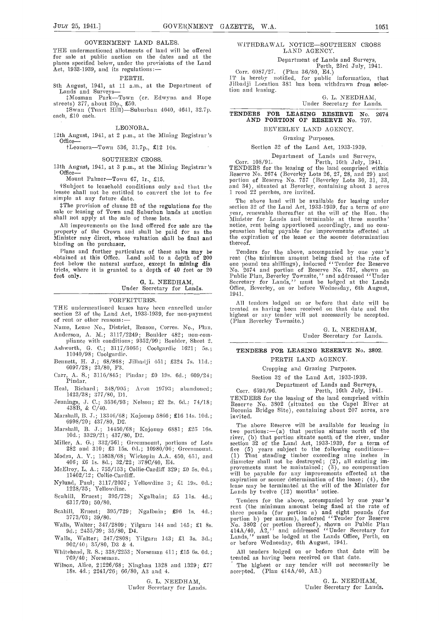### GOVERNMENT LAND SALES

THE undermentioned allotments of land will be offered for sale at public auction on the dates and at the places specified below, under the provisions of the Land Act, 1933-1939, and its regulations:—

#### PERTH.

8th August, 1941, at 11 a.m., at the Department of Lands and Surveys-<br>  $\text{\#Mosman}$  Park-Town (cr. Edwyna and Hope

streets) 377, about 20p.,  $\pounds 50$ .<br>
Swan (Tuart Hill)—Suburban 4640, 4641, 32.7p.<br>
each, £10 each.

#### LEONORA.

12th August, 1941, at 2 p.m., at the Mining Registrar's Office-

 $t$ Leonora-Town 536, 31.7p., £12 10s.

# SOUTHERN CROSS.

13th August, 1941, at 3 p.m., at the Mining Registrar's Office

Mount Palmer-Town 67, 1r., £15.

lessee shall not be entitled to convert the lot to fee simple at any future date.

sale or leasing of Town and Suburban lands at auction vear,<br>shall not apply at the sale of these lots. Minis

binding on the purchaser.

Plans and further particulars of these sales may be Ten obtained at this Office. Land sold to a depth of 200 rent feet below the natural surface, except in mining dis one tricts, where it is granted to a depth of 40 feet or 20  $\qquad$  No. 2

feet only. <br>
G. L. NEEDHAM, Under Secretary for Lands.

### FORFEITURES.

THE undermentioned leases have been cancelled under section 23 of the Land Act, 1933-1939, for non-payment of rent or other reasons:-

- Name, Lease No., District, Reason, Corres. No., Plan. Anderson, A. M.; 3117/2249; Boulder 482; non-com
- pliance with conditions; 9352/99; Boulder, Sheet 2. Ashwortl, C. C.; 3117/3065; Coolgardie 1621; Ss.; 11040/98; Coolgardie.
- Bennett, H. J.; 68/868; Jilbadji 451; £324 7s. 11d.; 6097/28; 23/80, F3.
- Carr, A. S.; 3116/845; Pindar; £0 19s. 6d.; 609/24; Pindar.
- Heal, Richard; 348/905; Avon 19793; abandoned; 1423/38; 377/80, D1.
- Jennings, .J. C.; 3536/93; Nelson; £2 2s. Gd.: 74/18; 438B, & C/40.
- Marshall, B. J.; 13346/68; Kojonup 5866; £16 14s. i0d.; 6998/20; 437/80, D2.
- Marshall, B. J.; 14450/68; Kojonup 6881; £25 iGs. lOd.; 3329/21; 437/80, D2.
- Miller, A. G.; 332/561; Greenmount, portions of Lots 282 and 310; £3 15s. 0d.; 10980/06; Greenmount. fiv
- Modra, A. V.; 15838/68; Wickepin A.A. 450, 451, and 406; £6 1s. 8d.; 32/22; 378C/40, E4.
- McElroy, L. A.; 755/153; Collie-Cardiff 329; £0 5s. 0d.; 11402/12; Collie-Cardiff.
- Nylund, Paul; 3117/2057; Yellowdiae 3; Li i9s. Od.; 1228/35; Yellowdine.
- Scahill, Ernest; 395/728; Ngalbain; £5 11s. 4d.; 6317/20; 50/80.
- Seahill, Ernest; 395/729; Ngalbain; £96 is. 4d.; 3773/03; 39/80.
- Walls, Walter; 347/2809; Yilgarn 144 and 145; £1 8s.<br>9d.; 2455/39; 35/80, D4.
- Walls Walter; 347/2808; Yilgarn 143; £1 3s. 3d.;  $902/40$ ;  $35/80$ , D3 & 4.
- Whitehend, R. S.; 338/2253; Norseman 411; £15 Gs. Od.; 769/40; Norseman.
- Wilson, Alice, 21226/68; Ninghan 1328 and 1329; £77  $\degree$  The high 18s, 4d.; 2241/26; 66/80, A3 and 4. 18s. 4d.; 2241/26; 66/80, A3 and 4.

# G. L. NEEDHAM,

Under Secretary for Lands.

WITHDRAWAL NOTICE-SOUTHERN CROSS LAND AGENCY.

Department of Lands and Surveys,<br>Perth, 23rd July, 1941.<br>Corr. 6087/27. (Plan 36/80, E4.)<br>perfect. for public information, that iT is hereby notified, for public information, that Jilbadji Location 381 has been withdrawn from selection and leasing.

> G. L. NEEDHAM, Under Secretary for Lands.

#### TENDERS FOR LEASING RESERVE No. 2674 AND PORTION OP RESERVE No. 757.

# BEVERLEY LAND AGENCY.

Grazing Purposes.

Section 32 of the Land Act, 1933-1939.

tSubject to leasehold conditions only and that the and 34), situated at Beverley, containing about 3 acres<br>ssee shall not be entitled to convert the lot to fee 1 rood 22 perches, are invited. Department of Lands and Surveys,<br>Corr. 108/91. Perth, 16th July, 1941.<br>TENDERS for the leasing of the land comprised within<br>Reserve No. 2674 (Beverley Lots 26, 27, 28, and 29) and<br>portion of Reserve No. 757 (Beverley Lots

mple at any future date.<br>The above land will be available for leasing under<br>The provision of clause 22 of the regulations for the section 32 of the Land Act, 1933-1939, for a term of one All improvements on the land offered for sale are the notice, rent being apportioned accordingly, and no comproperty of the Crown and shall be paid for as the measurements effected at Minister may direct, whose valuation s The above land will be available for leasing under section 32 of the Land Act, 1933-1939, foi- a term of one year, renewable thereafter at the will of the Hon. the Minister for Lands and terminable at three months' notice, rent being apportioned accordingly, and no com-<br>pensation being payable for improvements effected at the expiration of the lease or the sooner determination thereof.

> Tenders for the above, accompanied by one year's rent (the minimum amount being fixed at the rate of<br>one pound ten shillings), indorsed "Tender for Reserve<br>No. 2674 and portion of Reserve No. 757, shown on<br>Public Plan, Beverley Townsite," and addressed "Under<br>Secretary f

All tenders lodged on or before that date will be treated as having been received on that date and the highest or any tender will not necessarily be accepted. (Plan Beverley Townsite.)

> 0. L. NEEDHAM, Under Secretary for Lands.

# TENDERS FOR LEASING RESERVE No. 3802. PERTH LAND AGENCY.

Cropping and Grazing Purposes.

Section 32 of the Laud Act, 1933-1939.

Department of Lands and Surveys, Corr. 6593/96. Perth, 16th July, 1941.

TENDERS for the leasing of the land comprised within Reserve No. 3802 (situated on the Capel River at Boronia Bridge Site), containing about 207 acres, are invited.

The above Reserve will be available for leasing in two portions:  $-(a)$  that portion situate north of the river, under  $i$ section 32 of the Land Act, 1933-1939, for a term of five (5) years subject to the following conditions-(1) That standing timber exceeding nine inches in diameter shall not be destroyed; (2), all existing im- provements must be maintained; (3), no compensation will be payable for any improvements effected at the expiration or sooner determination of the lease; (4), the lease may be terminated at the will of the Minister for Lands by twelve (12) months' notice.

Tenders for the above, accompanied by one year's<br>rent (the minimum amount being fixed at the rate of<br>three pounds (for portion a) and eight pounds (for<br>portion b) per amum), indorsed "Tender for Reserve<br>No. 3802 (or portio or before Wednesday, 6th August, 1941.

All tenders lodged on or before that date will be treated as having been received on that date.

The highest or any tender will not necessarily be  $\int$  (Plan 414A/40, A2.)

> G. L. NEEDHAM, Under Secretary for Lands.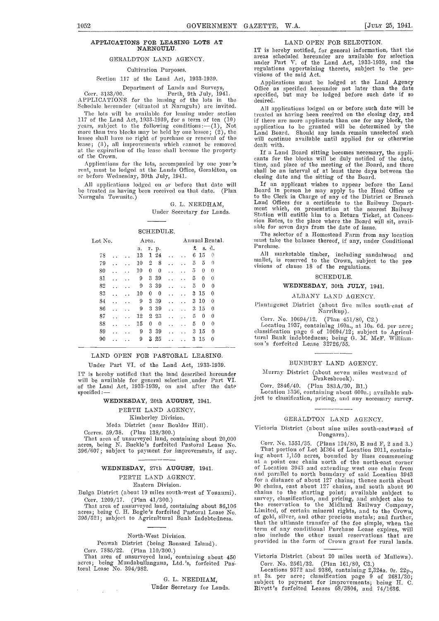# APPLICATIONS FOR LEASING LOTS AT NARNGULU.

# GERALDTON LAND AGENCY.

# Cultivation Purposes.

# Section 117 of the Land Act, 1933-1939.

Department of Lands and Surveys,

Corr. 3133/00. Perth, 9th July, 1941. APPLICATIONS for the leasing of the lots in the Schedule hereunder (situated at Narngulu) are invited.

The lots will be available for leasing under section 117 of the Land Act, 1933-1939, for a term of ten (10) years, subject to the following conditions :- (1), Not more than two blocks may be held by one lessee;  $(2)$ , the lessee shall have no right of purchase or renewal of the will lease; (3), all improvements which cannot be removed ——dealt lease; (3), all improvements which cannot be removed dealt with.<br>at the expiration of the lease shall become the property figure and Board sitting becomes necessary, the appliof the Crown.

Applications for the lots, accompanied by one year's tir rent, must be lodged at the Lands Office, Geraldton, on shall or before Wednesday, 30th July, 1941.

All applications lodged on or before that date will let treated as having been received on that date. (Plan Boar Narnguln Townsite.)

#### G. L. NEEDHAM,

Under Secretary for Lands.

|                            | able for<br>The se   |                      |                                          |                                                   |                        |
|----------------------------|----------------------|----------------------|------------------------------------------|---------------------------------------------------|------------------------|
| Lot No.                    |                      | Area.                |                                          | Annual Rental.                                    | must tak               |
|                            |                      | r. p.<br>а.          |                                          | £<br>s. d.                                        | Purchase               |
| 78                         |                      | 13<br>124            |                                          | 15<br>6<br>0<br>. .                               | All<br>-11             |
| 79<br>$\ddot{\phantom{0}}$ | $\ddot{\phantom{0}}$ | $\overline{2}$<br>10 | 8<br>$\ddot{\phantom{0}}$                | 5<br>$\theta$<br>5<br>$\ddot{\phantom{0}}$        | mallet, i<br>visions o |
| 80                         |                      | 10<br>0              | $\theta$<br>$\ddot{\phantom{0}}$         | 5<br>0<br>$\Omega$<br>$\ddot{\phantom{0}}$        |                        |
| 81                         | $\ddot{\phantom{1}}$ | 3 39<br>9            | $\ddot{\phantom{0}}$                     | 5<br>$\Omega$<br>$\theta$<br>$\ddot{\phantom{0}}$ |                        |
| 82                         | $\ddot{\phantom{0}}$ | 3 3 9<br>9           |                                          | 5<br>0<br>0<br>. .                                |                        |
| 83<br>. .                  | $\ddot{\phantom{0}}$ | $\bf{0}$<br>10       | $\boldsymbol{0}$<br>$\ddot{\phantom{0}}$ | 3 15<br>$\theta$<br>. .                           |                        |
| 84                         | $\ddot{\phantom{0}}$ | 3 3 9<br>9           | $\ddot{\phantom{0}}$                     | $3\,10$<br>$\theta$<br>$\ddot{\phantom{0}}$       | Plantage               |
| 86                         |                      | 3 3 9<br>9           |                                          | $3\,15$<br>$\theta$<br>$\ddot{\phantom{0}}$       |                        |
| 87<br>$\ddot{\phantom{1}}$ | $\ddot{\phantom{0}}$ | 12<br>$2\,23$        | . .                                      | 5<br>$\Omega$<br>$\Omega$<br>$\ddot{\phantom{0}}$ | Corr.                  |
| 88<br>$\ddot{\phantom{0}}$ | $\ddot{\phantom{0}}$ | 15<br>0              | $\theta$<br>. .                          | 5<br>$\theta$<br>$\Omega$<br>$\ddot{\phantom{0}}$ | Locati                 |
| 89<br>$\ddot{\phantom{1}}$ | $\ddot{\phantom{a}}$ | 3<br>39<br>9         |                                          | 15<br>3<br>0<br>. .                               | classifies             |
| 90                         |                      | 25<br>9<br>3         |                                          | 15<br>3<br>$\theta$                               | tural Ba<br>son's fo   |

# LAND OPEN FOR PASTORAL LEASING.

Under Part VI. of the Land Act, 1933-1939.

IT is hereby notified that the land described hereunder will be available for general selection ,under Part VI. of the Land Act, 1933-1939, on and after the date specified:

# WEDNESDAY, 20th AUGUST, 1941.

# PERTH LAND AGENCY.

Kimberley Division.

Mcda District (near Boulder Hill).

Corres. 59/38. (Plan 138/300.)

That area of unsurveyed land, containing about 20,000 acres, being N. Buckle's forfeited Pastoral Lease No. 396/607; subject to payment for improvements, if any.

#### WEDNESDAY, 27th AUGUST, 1941.

#### PERTH LAND AGENCY.

# Eastern Division.

Bulga District (about 19 miles south-west of Youanmi). Corr. 1209/17. (Plan 41/300.)

That area of unsurveyed land, containing about 86,106 the acres; being C. H. Bogle's forfeited Pastoral Lease No. Lin 395/521 ; subject to Agricultural Bank Indebtedness.

# North-West Division.

Peawah District (being Ronsard Island).

 $\Delta \sim 10^{-11}$ 

Corr. 7885/22. (Plan 110/300.)<br>That area of unsurveyed land, containing about 450 <sup>Victo</sup> acres; being Mundabullangana, Ltd. 's, forfeited Pas-toral Lease No. 394/982.

> G. L. NEEDHAM, Under Secretary for Lands.

#### LAND OPEN FOR SELECTION.

IT is hereby notified, for general information, that the areas scheduled hereunder are available for selection under Part V. of the Land Act, 1933-1939, and the regulations appertaining thereto, subject to the pro-<br>visions of the said Act.

Applications must be lodged at the Land Agency Office as specified hereunder not later than the date specified, but may be lodged before such date if so desired.

All applications lodged on or before such date will be treated as having been received on the closing day, and divided as nearing been received on the cosing day, and<br>application to be granted will be determined by the<br>Land Board. Should any lands remain unselected such<br>will continue available until applied for or otherwise

cants for the blocks will be duly notified of the date, time, and place of the meeting of the Board, and there shall be an interval of at least three days between the

closing date and the sitting of the Board.<br>If an applicant wishes to appear before the Land If an applicant wishes to appear before the Land Board in person he may apply to the Head Office or to the Clerk in Charge of any of the District or Branch Land Offices for a certificate to the Railway Depart- ment which, on presentation at the nearest Railway Station will entitle him to a Return Ticket, at Conces-Station will entitle him to a Return Ticket, at Concession Rates, to the place where the Board will sit, available for seven days from the date of issue.

The selector of a Homestead Farm from any location must take the balance thereof, if any, under Conditional Purchase.

All marketable timber, including sandalwood and u,allet, is reserved to the Cm'own, subject to the pr visions of clause 18 of time regulations. <sup>79</sup> <sup>10</sup> <sup>2</sup> <sup>S</sup> 550

#### SCHEDULE.

# WEDNESDAY, 30th JuLY, 1941.

#### ALBANY LAND AGENCY.

Plantagenet District (about five miles south-east of Narriknp).

Corr. No. 10694/12. (Plan 451/80, C2.)

Location 4937, containing lGOa., at lOs. Gd. per acre; classification page 6 of 10694/12; subject to Agricultural Bank indebtedness; being G. M. McI'. William- son's forfeited Lease 32726/55.

# BUNBURY LAND AGENCY.

Slurrav District (about seven miles westward of Drakesbrook).

Corr. 2846/40. (Plan 383A/30, B1.)

Location 1356, containing about 600a.; available sub ject to classification, pricing, and any necessary survey.

### OERALDTON LAND AGENCY.

Victoria District (about nine miles south-eastward of Dongarra).

Con'. No. 1551/35, (Plans 124/SO, E and F, 2 and 3.) That portion of Lot M364 of Location 2011, containing about 1,150 acres, bounded by lines commencing<br>at a point one chain north of the north-east corner<br>of Location 3943 and extending west one chain from of Location 3943 and extending west one chain from<br>and parallel to north boundary of said Location 3943<br>for a distance of about 127 chains; thence north about 90 chains, east about 127 chains, and south about 90 chains to the starting point; available subject to survey, classification, and pricing, and subject also to Limited, of certain mineral rights, and to the Crown, of gold, silver, and other precious metals; and further, term of any conditional Purchase Lease expires, will also include the other usual reservations that are<br>provided in the form of Crown grant for rural lands.

Victoria District (about 20 miles north of Mullewa). Corr. No. 2561/32. (Plan 161/80, C3.)

Locations 9372 and 9386, containing 2,324a. Or. 22p., at 3s. per acre; classification page <sup>9</sup> of 2681/30; subject to payment for improvements; being H. C. llivett's forfeited Leases 68/3804, and 74/1636.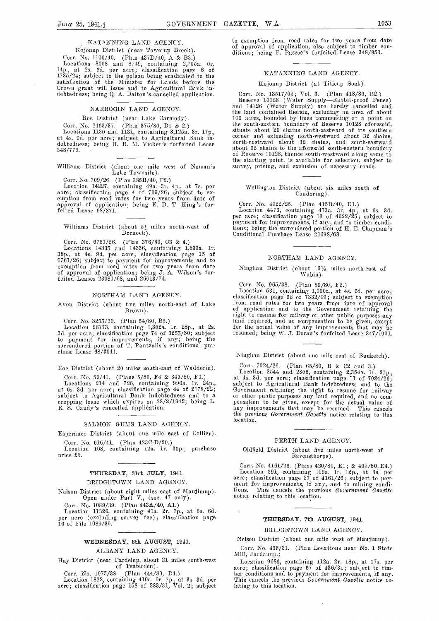#### KATANNING LAND AGENCY.

Kojonup District. (near Towerup Brook).

Corr. No. 1100/40. (Plan 437D/40, A & B3.) Locations 8068 and S749, containing 2,705a. Or. 14p., at 2s. Gd. per acre; classification page <sup>6</sup> of 47.35/24; subject to the poison being eradicated to the satisfaction of the Minister for Lands before the Crown grant will issue and to Agricultural Bank in- debtedness; being Q. A. Dalton's cancelled application.

# NARROGIN LAND AGENCY.

# Roe District (near Lake Carmody).

Corr. No. 2463/37. (Plan 375/80, D1 & 2.)

348/779.

# Williams District (abont one mile west of Noman's surf Lake Townsite).

Corr. No. 709/26. (Plan 385B/40, P2.) Location 14227, containing 49a. 3r. 4p., at 7s. per acre; classification page 4 of 709/26; subject to ex-<br>emption from road rates for two years from date of<br>approval of application; being E. D. T. King's forfeited Lease 68/87].

# Williams District (about  $5\frac{1}{2}$  miles north-west of Dornock).

Corr. No. 6761/26. (Plan 376/80, C3 & 4.)<br>Locations 14335 and 14336, containing 1,533a. 1r.<br>38p., at 4s. 9d. per acre; classification page 15 of 6761/26; subject to payment for improvements and to exemption from road rates for two years from date Mission of application; being J. A. Wilson's forfeited Leases 23081/68, and 26013/74.

### NORTHAM LAND AGENCY.

Avon District (about five miles north-east of Lake Brown).

Corr. No. 3255/30. (Plan 54/80, B3.) Location 26773, containing 1,352a. lr. 28p., at 2s. 3d. pci acre; classiflcatioa page 74 of 3255/30; subject to payment for improvements, if any; being the surrendered portion of T. Pantzalis's conditional purchase Lease 68/3041.

Roe District (about 20 miles south-east of Wadderin).

Corr. No. 56/41. (Plans 5/80, F4 & 345/80, F1.)<br>Locations 214 and 726, containing 990a. 1r. 24p., at 6s. 3d. per acre; classification page 44 of 2178/22;<br>subject to Agricultural Bank indebtedness and to a cropping lease which expires on 28/2/1942; being L. E. S. Candy's cancelled application.

### SALMON GUMS LAND AGENCY.

Esperancc District (about one mile east of Collier). Corr. No. 616/41. (Plan 423C-D/20.)

Location 168, containing 12a. 1r. 30p.; purchase price £5.

# THURSDAY, 31st JuLY, 1941. BRIDGETOWN LAND AGENCY.

Nelson District (about eight miles east of Manjimup). Open under Part V., (sec. 47 only).

Corr. No. 1089/39. (Plan 443A/40, Al.)

Location 11326, containing 41a. 2r. 7p., at 6s. 6d. per acre (excluding survey fee); classification page 16 of File 1089/39.

### WEDNESDAY, 6th AUGUST, 1941.

# ALBANY LAND AGENCY.

Hay District (near Pardelup, about 21 miles south-west of Tenterden).

Corr. No. l075/38. (Plan 444/80, D4.)

Location 1822, containing 410a. Or. 7p., at 3s. 3d. per acre; classification page 158 of 283/31, Vol. 2; subject

to exemption from road rates for two years from date of approval of application, also subject to timber con- ditions; being F. Pascoe 's forfeited Lease 348/853.

#### KATANNING LAND AGENCY.

# Kojonup District (at Titicup Soak).

Locations 1130 and 1131, containing 3,125a. 3r. 17p.,<br>at 4s. 9d. per acre; subject to Agricultural Bank in-<br>debtedness; being H. R. M. Vicker's forfeited Lease in the statute of the actending north-esstward about 32 chains Corr. No. 13517/05; Vol. 3. (Plan 418/80, B2.) Reserve 10128 (Water Supply-Rabbit-proof Fence) and 14726 (Water Supply) are hereby cancelled and the land contained therein, excluding an area of about<br>100 acres, bonnded by lines commencing at a point on the south-eastern boundary of Reserve 10128 aforesaid, situate about 20 chains north-eastward of its southern north-eastward about 32 chains, and sonth-eastward about 32 chains to the aforesaid south-eastern boundary of Reserve 10128, thence south-westward along same to the starting point, is available for selection, subject to survey, pricing, and exclusion of necessary roads.

# Wellington District (about six niiles south of Condering).

Corr. No. 4022/25. (Plan 415B/40, Dl.) Location 4476, containing 473a. 3r. 4p., at 6s. 3d. acle; classification page 13 of 4022/25; subject to payment for improvements, if any, and to timber conditions; being the surrendered portion of H. E. Chapman's Conditional Purchase Lease 21698/68.

# NORTHAM LAND AGENCY.

#### Ninghan District (about  $16\frac{1}{2}$  miles north-east of Wubin).

Corr. No. 965/38. (Plan 89/80, F2.)

Location 531, containing 1,000a., at 4s. Gd. per acre; classification page 92 of 7332/09; subject to exemption from road rates for two years from date of approval of application and to the Government retaining the right to resume for railway or other public purposes any land required, and no compensation to be given, except<br>for the actual value of any improvements that may be resumed; being W. J. Doran 's forfeited Lease 347/1991.

Ninghan District (abont one mile east of Bunketch).

Corr. 7024/26. (Plan 65/80, B & C2 and 3.)<br>Location 2544 and 2856, containing 2,354a. 1r. 27p.,<br>at 4s. 3d. per acre; classification page 11 of 7024/26;<br>subject to Agricultural Bank indebtedness and to the<br>Government retai or other public purposes any land required, and no com-<br>pensation to be given, except for the actual value of any improvements that may be resumed. This cancels the previous *Government Gazette* notice relating to this<br>location.

#### PERTH LAND AGENCY.

# Oldfield District (about five miles north-west of<br>Ravensthorpe).

Corr. No. 4161/26. (Plans 420/80, E1; & 405/80, E4.) Location 391, containing 109a. 1r. 12p., at 3s. per acre; classification page 27 of 4161/26; subject to payment for improvements, if any, and to mining condi-<br>tions. This cancels the previous *Government Gazette* tions. This cancels the previous Government Gazette notice relating to this location.

# THURSDAY, 7th AUGUST, 1941.

# BRIDGETOWN LAND AGENCY.

Nelson District (about one mile west of Manjimup).

Corr. No. 436/31. (Plan Locations near No. 1 State Mill, Jardanup.)

Location 9686, containing 112a. 2r. 18p., at 17s. per acre; classification page 67 of 436/31; subject to tim-<br>ber conditions and to payment for improvements, if any. This cancels the previous *Government Gazette* notice r lating to this location.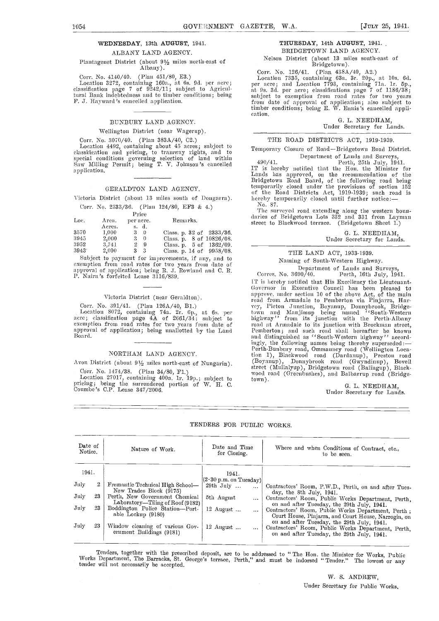# WEDNESDAY, 13th AUGUST, 1941.

ALBANY LAND AGENCY.

# Plantagenet District (about 9'/2 miles north-east of Albany).

Corr. No. 4140/40. (Plan 451/80, E3.)<br>Location 3272, containing 160a., at 6s. 9d. per acre;<br>classification page 7 of 9242/11; subject to Agricultural Bank indebtedness and to tiniber conditions; being F. J. Hayward's cancelled application.

# BUNBURY LAND AGENCY.

### Wellington District (near Wagerup).

Corr. No. 3070/40. (Plan 383A/40, C2.) Location 4492, containing about 45 acres; subject to Tem<br>classification and pricing, to tramway rights, and to Tem special conditions governing selection of land within Saw Milling Permit; being T. V. Johnson's cancelled  $\frac{490}{7}$ application.

# GERALDTON LAND AGENCY.

Victoria District (about 13 miles south of Dongarra). Corr. No. 2333/36. (Plan 124/80, EF3 & 4.)

| Loc.          | Area.<br>Acres. | Price<br>per acre.<br>s. d. | Remarks.                                                        |
|---------------|-----------------|-----------------------------|-----------------------------------------------------------------|
| 3570          | 1,000           | $3 \quad 0$                 | Class. p. $32 \text{ of } 2333/36$ .                            |
| 3945          | 2,000           | $3 \quad 0$                 | Class. p. 8 of 10826/08.                                        |
| 3952<br>3943* | 3.741<br>2,000  | 29<br>3 <sup>3</sup>        | Class. p. $5 \text{ of } 1362/09$ .<br>Class, p. 14 of 9958/08. |
|               |                 |                             |                                                                 |

Subject to payment for improvements, if any, and to exemption from road rates for two years from date of approval of application; being R. J. Rowland and C. R.<br>P. Nairn's forfeited Lease 3116/839.<br>P. Nairn's forfeited Lease 3116/839.<br>IT is hereby notified that His Excellenc

# Victoria District (near Geraldtoa)

Corr. No. 391/41. (Plan 126A/40, B1.)<br>Location 8072, containing 74a. 2r. 6p., at 6s. per acre; classification page  $4A$  of  $2661/34$ ; subject to highw cxdnsption from road rates for two years from date of approval of application; being unallotted by the Land Board.

#### NORTHAM LAND AGENCY.

Avon District (about 9½ miles north-east of Nungarin).<br>
Corr. No. 1474/38. (Plan 34/80, F1.)

Corr. No. 1474/38. (Plan 34/80, F1.)<br>
Location 27017, containing 400a. 1r. 19p.; subject to town pricing; being the surrendered portion of W. H. C.<br>Coumbe 's C.P. Lease 347/2006.

# THURSDAY, 14th AUGUST, 1941.

BRIDGETOWN LAND AGENCY. Nelson District (about 13 nnles south-east of

# Bridgetown).

Corr. No. 126/41. (Plan 438A/40, A2.)

Location 7335, containing 63a. 3r. 20p., at 10s. 6d.<br>per acre; and Location 7793, containing 71a. 1r. 5p.,<br>at 9s. 3d. per acre; classifications page 7 of 1186/38;<br>subject to exemption from road rates for two years<br>from dat timber conditions; being E. W. Ennis 's cancelled appli- cation.

### G. L. NEEDHAM, Under Secretary for Lands.

THE ROAD DISTRICTS ACT, 1919-1939.

Temporary Closure of Road-Bridgetowa Road District.

490/41. Perth, 25th July, 1941. IT is hereby notified that the Hon. the Minister for Bridgetown Road Board, of the following road being temporarily closed under the provisions of section 152 of the Road Districts Act, 1919-1939; such road is hereby temporarily closed until further notice:- No. 87.

No. 87.<br>The surveyed road extending along the western boun-<br>daries of Bridgetown Lots 332 and 331 from Layman street to Blackwood terrace. (Bridgetown Sheet 1.)

> C. L. NEEDHAM, Under Secretary for Lands.

# THE LAND ACT, 1933-1939. Naming of South-Western Highway.

Department of Lands and Surveys,<br>Corres. No. 3690/40. Perth, 16th July, 1941.

Governor in Executive Council has been pleased to source and approve, under section 10 of the above Act, of the main road from Armadale to Pemberton via Pinjarra, Harroad from Armadale to Pemberton via Pinjarra, Har-<br>vey, Picton Junction, Boyanup, Donnybrook, Bridgetown and Manjimup being named "South-Western highway" from its junction with the Perth-Albany road at Armadale to its junction with Brockman street,<br>Pemberton; and such road shall hereafter be known<br>and distinguished as ''South-Western highway'' accordingly, the following names being thereby superseded:—<br>Perth-Bunbury road, Ommanney road (Wellington Location 1), Blackwood road (Dardanup), Preston road (Boyanup), Donnybrook road (Gwyndinup), Bovell street (Mullalyup), Bridgetown road (Balingup), Black- wood road (Greonbushes), and Balbarrup road (Bridge-town).

# C. L. NEEDHAM, Under Secretary for Lands.

| Date of<br>Notice. |    | Nature of Work.                                                    | Date and Time<br>for Closing.                                             | Where and when Conditions of Contract, etc<br>to be seen.                                                                                      |  |  |  |  |
|--------------------|----|--------------------------------------------------------------------|---------------------------------------------------------------------------|------------------------------------------------------------------------------------------------------------------------------------------------|--|--|--|--|
| 1941.              |    |                                                                    | 1941.                                                                     |                                                                                                                                                |  |  |  |  |
| July               |    | Fremantle Technical High School—<br>New Trades Block (9175)        | $\left \left(2\cdot 30\text{ p.m. on Tuesday}\right)\right $<br>29th July | Contractors' Room, P.W.D., Perth, on and after Tues-<br>day, the 8th July, 1941.                                                               |  |  |  |  |
| July               | 23 | Perth, New Government Chemical<br>Laboratory—Tiling of Roof (9182) | 5th August                                                                | Contractors' Room, Public Works Department, Perth,<br>on and after Tuesday, the 29th July, 1941.                                               |  |  |  |  |
| July               | 23 | Boddington Police Station-Port-<br>able Lockup (9180)              | $12$ August                                                               | Contractors' Room, Public Works Department, Perth;<br>Court House, Pinjarra, and Court House, Narrogin, on                                     |  |  |  |  |
| July               | 23 | Window eleaning of various Goy-<br>erument Buildings (9181)        | $12$ August<br>$\cdots$                                                   | on and after Tuesday, the 29th July, 1941.<br>Contractors' Room, Public Works Department, Perth,<br>on and after Tuesday, the 29th July, 1941. |  |  |  |  |

# TENDERS FOR PUBLIC WORKS.

Tenders, together with the prescribed deposit, are to be addressed to "The Hon. the Minister for Works, Public Works Department, The Barracks, St. George's terrace, Perth," and must be indorsed "Tender." The lowest or any

W. S. ANDREW, Under Secretary for Public Works.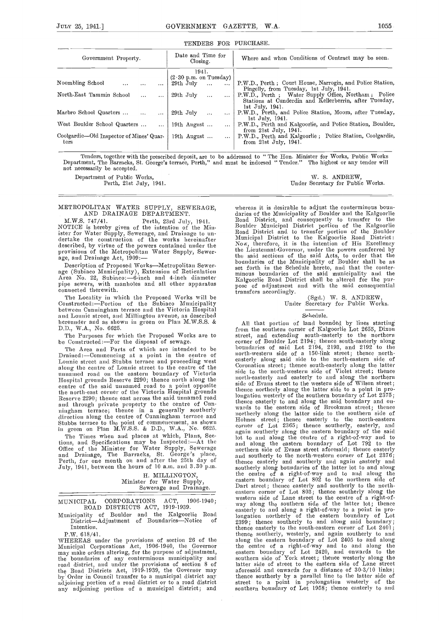# TENDERS FOR PURCHASE.

| Government Property.                     | Date and Time for<br>Closing.    | Where and when Conditions of Contract may be seen.         |  |  |  |
|------------------------------------------|----------------------------------|------------------------------------------------------------|--|--|--|
|                                          | 1941.                            |                                                            |  |  |  |
|                                          | $(2.30 \text{ p.m. on Tuesday})$ |                                                            |  |  |  |
| Noombling School<br>$\cdots$             | 29th July<br>$\cdots$            | P.W.D., Perth; Court House, Narrogin, and Police Station,  |  |  |  |
|                                          |                                  | Pingelly, from Tuesday, 1st July, 1941.                    |  |  |  |
| North-East Tammin School<br>$\cdots$     | 29th July<br>$\cdots$            | P.W.D., Perth; Water Supply Office, Northam; Police        |  |  |  |
|                                          |                                  | Stations at Cunderdin and Kellerberrin, after Tuesday,     |  |  |  |
|                                          |                                  | lst July, 1941.                                            |  |  |  |
| Marbro School Quarters                   | 29th July<br>$\cdots$            | P.W.D., Perth, and Police Station, Moora, after Tuesday,   |  |  |  |
|                                          |                                  | 1st July, 1941.                                            |  |  |  |
| West Boulder School Quarters<br>$\cdots$ | 19th August<br>$\cdots$          | P.W.D., Perth and Kalgoorlie, and Police Station, Boulder, |  |  |  |
|                                          |                                  | from $21st$ July, $1941$ .                                 |  |  |  |
| Coolgardie-Old Inspector of Mines' Quar- | 19th August $\ldots$             | P.W.D., Perth and Kalgoorlie; Police Station, Coolgardie,  |  |  |  |
| ters                                     |                                  | from 21st July, 1941.                                      |  |  |  |
|                                          |                                  |                                                            |  |  |  |

Tenders, together with the prescribed deposit, are to be addressed to "The Hon. Minister for Works, Public Works<br>Department, The Barracks, St. George's terrace, Perth," and must be indorsed "Tender." The highest or any ten not necessarily be accepted.

AND DRAINAGE DEPARTMENT.

M.W.S. 747/41. Perth, 23rd July, 1941. NOTICE is hereby given of the intention of the Mindertake the construction of the works hereinafter described, by virtue of the powers contained under the provisions of the Metropolitan Water Supply, Sewer-<br>age, and Drainage Act, 1909:—<br>Description of Proposed Works—Metropolitan Sewer-

The Locality in which the Proposed Works will be Constructed:—Portion of the Subiaco Municipality between Cunningham terrace and the Victoria Hospital<br>and Lonnic street, and Millington avenue, as described<br>hereunder and as shown in green on Plan M.W.S.S. & A<sub>ll</sub> that hereunder and as shown in green on Plan M.W.S.S. & D.D., W.A., No. 6625.

The Purposes for which the Proposed Works are to be Constructed:—For the disposal of sewage.

The Area and Parts of which are intended to be<br>Drained:--Commencing at a point in the centre of Lonnie street and Stubbs terrace and proceeding west<br>along the centre of Lonnie street to the centre of the<br>doug said side to the north-eastern side of<br>the munamed road on the eastern boundary of Victoria<br>side to the north the north-east corner of the Victoria Hospital grounds<br>Reserve 2290; thence east across the said unnamed road long<br>and through private property to the centre of Cun-<br>ingham terrace; thence in a generally southerly ward direction along the centre of Cunningham terrace and morth<br>Stubbs terrace to the point of commencement, as shown Holm Stubbs terrace to the point of commencement, as shown<br>in green on Plan M.W.S.S. & D.D., W.A., No. 6625.

The Times when and places at which, Plans, Sec-<br>tions, and Specifications may be Inspected:—At the lot in<br>Office of the Minister for Water Supply, Sewerage nort and Drainage, The Barracks, St. George's place, movement on and after the 25th day of the July, 1941, between the hours of 10 a.m. and 3.30 p.m.

H. MILLINGTON, Minister for Water Supply, Sewesage and Drainage.

MUNICIPAL CORPORATIONS ACT, 1906-1940; ROAD DISTRICTS ACT, 1919-1939.

Municipality of Boulder and the Kalgoorlie Road the District—Adjustment of Boundaries—Notice of 23g Intention.

P.W. 618/41.<br>WHEREAS under the provisions of section 26 of the Municipal Corporations Act, 1906-1940, the Governor<br>may make orders altering, for the purpose of adjustment, may make orders altering, for the purpose of adjustment, easte the boundaries of any conterminous municipality and south road district, and under the provisions of section 8 of latter the Road Districts Act, 1919-1939, the Governor may afore by Order in Council transfer to a municipal district any then adjoining portion of a road district or to a road district any adjoining portion of a municipal district; and

Department of Public Works, W. S. ANDREW, W. S. ANDREW, Perth, 21st July, 1941. Notes Under Secretary for Public Works.

METROPOLITAN WATER SUPPLY, SEWERAGE, whereas it is desirable to adjust the conterminous boun-<br>AND DRAINAGE DEPARTMENT. daries of the Municipality of Boulder and the Kalgoorlie age (Subiaco Municipality), Extension of Reticulation Area No. 22, Subiaco:-6-inch and 4-inch diameter minous boundaries of the said municipality and the pur-<br>pipe sewers, with manholes and all other apparatus connected th where it is desirable to an increase the content of the Content and consequently to transfer to the Boulder Road District, and to transfer portion of the Boulder Boulder Municipal District portion of the Kalgoorlie<br>Road District and to transfer portion of the Boulder<br>Municipal District to the Kalgoorlie Road District:<br>Now, therefore, it is the intention of His Excellency<br>the Lieute minous boundaries of the said municipality and the Kalgoorhie Road District shall be altered for the pur-

transfers and the Secretary for Public Works.

#### Schedule.

All that portion of land bounded by lines starting from the southern corner of Kalgoorlie Lot 2655, Dixon street, and extending south-easterly to the northern corner of Boulder Lot 2194; thence south-easterly along boundaries of said Lot 2194, 2193, and 2192 to the north-western side of a 150-link street; thence north-easterly along said side to the north-eastern side of Coronation street; thence south-easterly along the latter side to the north-western side of Violet street; thence north-easterly and easterly to and along the northern side of Evans street to the western side of Wilson street;<br>thence northerly along the latter side to a point in prolongation westerly of the southern boundary of Lot 2375; thence easterly to and along the said boundary and on-<br>wards to the eastern side of Brookman street; thence<br>northerly along the latter side to the southern side of Holmes street; thence easterly to the north-eastern corner of Lot 2365; thence southerly, easterly, and again southerly along time eastern boundary of the said lot to and along the centre of a right-of-way and to and along the eastern boundary of Lot 792 to the northern side of Evans street aforesaid; thence easterly and southerly to the north-western corner of Lot 2376; thence easterly and southerly and again easterly and southerly along boundaries of the latter lot to and along the centre of a right-of-way and to and along the eastern boundary of Lot 802 to the northern side of eastern boundary of Lot 802 to the northern side of<br>Dart street; thence easterly and southerly to the north-<br>eastern corner of Lot 803; thence southerly along the<br>western side of Lane street to the centre of a right-of-<br>wa easterly to and along a right-of-way to a point in pro-longation northerly of tile eastern boundary of Lot 2399; thence southerly to and along said boundary; thence easterly to the south-eastern corner of Lot 2401; thence southerly, westerly, and again southerly to and along the eastern boundary of Lot 2405 to and along the centre of a right-of-way and to and along tile eastern boundary of Lot 2420, and onwards to the southern side of York street; thence westerly along the latter side of street to the eastern side of Lane street aforesaid and onwards for a distance of 30-3/10 links; thence southerly by a parallel line to the latter side of<br>street to a point in prolongation westerly of the southern boundary of Lot 1958; thence easterly to and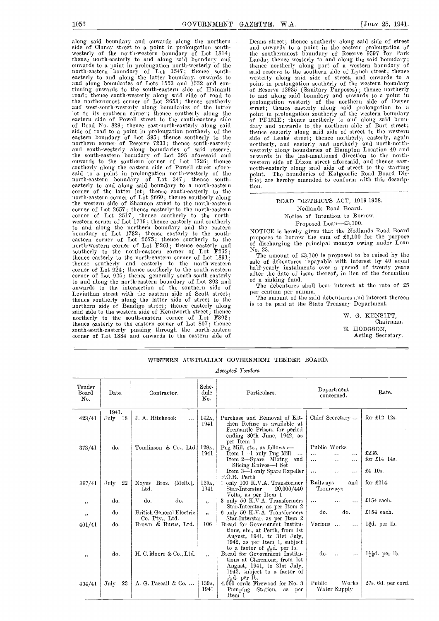along said boundary and onwards along the northern side of Clancy street to a point in prolongation south-<br>westerly of the north-western boundary of Lot 1814;<br>t thence north-easterly to and along said boundary and onwards to a point in prolongation north-westerly of the thence<br>north-eastern boundary of Lot 1547; thence south-<br>easterly to and along the latter boundary, onwards to weste and along boundaries of Lots 1553 and 1552 and continuing onwards to the south-eastern side of Hainault cof R<br>road; thence south-westerly along said side of road to to an riang communications of the northernmost corner of Lot 2653; thence southerly the northernmost corner of Lot 2653; thence southerly and west-south-westerly along boundaries of the latter the stre eastern side of Powell street to the south-eastern side  $0 \tcdot$ of Road No. 829; thence east-north-easterly along said dary side of road to a point in prolongation northerly of the eastern boundary of Lot 395; thence southerly to the northern corner of Reserve 7233; thence south-easterly and south-westerly along boundaries of said reserve,<br>the south-eastern boundary of Lot 395 aforesaid and<br>the south-eastern boundary of Lot 395 aforesaid and<br>onwards in the last-mentioned direction to the north-<br>onwards to said to a point in prolongation north-westerly of the point. north-eastern boundary of Lot 347; thence south-easterly to and along said boundai-y to a north-eastern corner of the latter lot; thence south-easterly to the north-eastern corner of Lot 2660; thence southerly along the western side of Shannon street to the north-eastern corner of Lot 2657; thence easterly to the north-eastern corner of Lot 2517; thence southerly to the northwestern corner of Lot 1719; thence easterly and southerly to and along the northern boundary and the eastern  $N$ boundary of Lot 1732; thence easterly to the south-<br>eastern corner of Lot 2675; thence southerly to the north-western corner of Lot F261; thence easterly and of d southerly to the north-eastern corner of Lot F262; thence easterly to the north-eastern corner of Lot 1891; thence southerly and easterly to the north-western sale<br>corner of Lot 924; thence southerly to the south-western halfcorner of Lot 925; thence generally sonth-south-easterly  $\overline{\text{a}^{\text{the}}}$ to and along the north-eastern boundary of Lot 803 and of a sinking fund. onwards to the intersection of the southern side of The debentures shall<br>Leviathan street with the eastern side of Scott street;  $P_{\text{sc}}^{\text{er}}$  centum per annum. Leviathan street with the eastern side of Scott street; thence southerly along the latter side of street to the northern side of Bendigo street; thence easterly along said side to the western side of Kenilworth street; thence<br>northerly to the south-eastern corner of Lot F303;<br>thence easterly to the eastern corner of Lot 807; thence<br>south-south-easterly passing through the north-eastern corner of Lot 1884 and onwards to the eastern side of

Deans street; thence sontherly along said side of street and onwards to a point in the eastern prolongation of the southernmost boundary of Reserve 9597 for Park the southernmost boundary of Reserve 9597 for Park<br>Lands; thence westerly to and along the said boundary;<br>thence northerly along part of a western boundary of<br>said reserve to the southern side of Lynch street; thence<br>weste of Reserve 12935 (Sanitary Purposes) ; thence northerly to and along said boundary and onwards to a point in prolongation westerly of the northern side of Dwyer street; thence easterly along said prolongation to a point in prolongation southerly of the western boundary of PF151E; thence northerly to and along said boun-<br>dary and onwards to the northern side of Burt street; thence easterly along said side of street to the western side of Leake street; thence northerly, easterly, again northerly, and easterly and northerly and north-north- westerly along boundaries of Hampton Location 40 and onwards in the last-meistioned direction to the northmorth-easterly along said side of street to the starting The boundaries of Kalgoorlie Road Board District are hereby amended to conform with this description.

# ROAD DISTRICTS ACT, 1919-1938.

Nedlands Road Board. Notice of Intention to Borrow.

Proposed Loan-£3,100.

NOTICE is hereby given that the Nedlands Road Board proposes to borrow the sum of £3,100 for the purpose of discharging the principal moneys owing nader Louis No. 23.

The amount of £3,100 is proposed to be raised by the sale of debentures repayable with interest by 40 equal half-yearly instalments ores- a period of twenty years after the date of issue thereof, in lieu of the formation

The debentures shall bear interest at the rate of £5

The amount of the said debentures and interest thereon is to be paid at the State Treasury Department.

> W. G. KENSITT, Chairman. E. HODGSON, Acting Secretary.

# WESTERN AUSTRALIAN GOVERNMENT TENDER BOARD.

#### Accepted Tenders.

| Tender<br>Board<br>No. | Date.       | Contractor.                           |                          | Particulars.                                                              | Department<br>concerned.         | Rate.                       |
|------------------------|-------------|---------------------------------------|--------------------------|---------------------------------------------------------------------------|----------------------------------|-----------------------------|
|                        | 1941.       |                                       |                          |                                                                           |                                  |                             |
| 423/41                 | July 18     | J. A. Hitchcock<br>$\cdots$           | 142 <sub>A</sub><br>1941 | Purchase and Removal of Kit-<br>chen Refuse as available at               | Chief Secretary                  | for $\pounds12$ 12s.        |
|                        |             |                                       |                          | Fremantle Prison, for period                                              |                                  |                             |
|                        |             |                                       |                          | ending 30th June, 1942, as<br>per Item 1                                  |                                  |                             |
| 373/41                 | do.         | Tomlinson & Co., Ltd.                 | 129 <sub>A</sub>         | Pug Mill, etc., as follows :-                                             | Public Works                     |                             |
|                        |             |                                       | 1941                     | Item 1-1 only Pug Mill<br>$\ddots$                                        | $\cdots$<br>$\ldots$<br>$\cdots$ | £235.                       |
|                        |             |                                       |                          | Item 2-Spare Mixing and<br>Slicing Knives-1 Set                           | $\cdots$<br>$\ldots$<br>$\cdots$ | for $£14$ 14s.              |
|                        |             |                                       |                          | Item 3-1 only Spare Expeller                                              | $\cdots$<br>$\ldots$<br>$\cdots$ | £4 10s.                     |
|                        |             |                                       |                          | F.O.R. Perth                                                              |                                  |                             |
| 367/41                 | 22<br>July  | Noyes Bros.<br>(Melb.),               | 125A.                    | 1 only 100 K.V.A. Transformer                                             | Railways<br>and                  | for $£214.$                 |
|                        |             | Ltd.                                  | 1941                     | 20,000/440<br>Star-Interstar                                              | Tramways                         |                             |
|                        | do.         | do.<br>do.                            | ,                        | Volts, as per Item 1<br>3 only 50 K.V.A. Transformers                     | $\cdots$<br><br>$\cdots$         | £154 each.                  |
| $, \,$                 |             |                                       |                          | Star-Interstar, as per Item 2                                             |                                  |                             |
| $, \,$                 | do.         | British General Electric              | , ,                      | 6 only 50 K.V.A. Transformers                                             | do.<br>do.                       | $£154$ each.                |
|                        |             | Co. Pty., Ltd.<br>Brown & Burns, Ltd. | 106                      | Star-Interstar, as per Item 2<br>Bread for Government Institu-            | Various                          | l§d. per lb.                |
| 401/41                 | do.         |                                       |                          | tions, etc., at Perth, from 1st                                           | $\cdots$                         |                             |
|                        |             |                                       |                          | August, 1941, to 31st July,                                               |                                  |                             |
|                        |             |                                       |                          | 1942, as per Item 1, subject                                              |                                  |                             |
|                        | do.         |                                       |                          | to a factor of $\frac{1}{32}d$ , per lb.<br>Bread for Government Institu- | do.<br>$\cdots$                  |                             |
| $, \,$                 |             | H.C. Moore & Co., Ltd.                | , ,                      | tions at Claremont, from 1st                                              | $\cdots$                         | $1\frac{11}{16}d$ , per lb. |
|                        |             |                                       |                          | August, 1941, to 31st July,                                               |                                  |                             |
|                        |             |                                       |                          | 1942, subject to a factor of                                              |                                  |                             |
|                        |             |                                       |                          | $\frac{1}{22}d$ , per lb.                                                 |                                  |                             |
| 404/41                 | -23<br>July | A. G. Pascall & Co.                   | 139A.<br>1941            | 4,000 cords Firewood for No. 3<br>Station,<br>Punping<br>as per           | Public<br>Works<br>Water Supply  | 27s. 6d. per cord.          |
|                        |             |                                       |                          | Item 1                                                                    |                                  |                             |
|                        |             |                                       |                          |                                                                           |                                  |                             |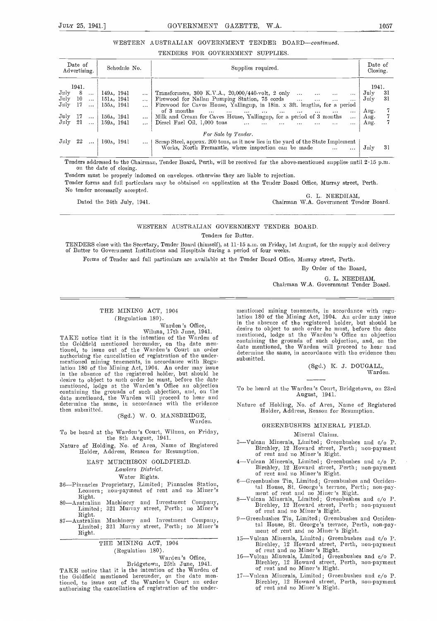# WESTERN AUSTRALIAN GOVERNMENT TENDER BOARD-continued.

# TENDERS FOR GOVERNMENT SUPPLIES.

| Date of<br>Advertising.                                                                                                       | Schedule No. |  |                                                     |                                                            | Supplies required.                                                                                                                                                                                                                                                                                                                                                                                                                                                                                                                                                                                                                                                         | Date of<br>Closing.                                  |          |
|-------------------------------------------------------------------------------------------------------------------------------|--------------|--|-----------------------------------------------------|------------------------------------------------------------|----------------------------------------------------------------------------------------------------------------------------------------------------------------------------------------------------------------------------------------------------------------------------------------------------------------------------------------------------------------------------------------------------------------------------------------------------------------------------------------------------------------------------------------------------------------------------------------------------------------------------------------------------------------------------|------------------------------------------------------|----------|
| 1941.<br>$_{\rm July}$<br>$-8$<br>July 10<br>$\text{July} \quad 17 \quad \dots$<br>July 17  156a, 1941<br>July 21  159a, 1941 | $\cdots$     |  | 149 <sub>A</sub> , 1941<br>151a, 1941<br>155д, 1941 | $\cdots$<br>$\cdots$<br>$\cdots$<br>$\ddotsc$<br>$\ddotsc$ | Transformers, 300 K.V.A., $20,000/440$ -volt, 2 only<br>$\cdots$<br>$\cdots$<br>Firewood for Nallan Pumping Station, 75 cords<br>$\cdots$<br>Firewood for Caves House, Yallingup, in 18in. x 3ft. lengths, for a period<br>of 3 months<br>الفقف المنفق المنفق المنفق المنفق المنفق<br>and the contract of the contract of the contract of the contract of the contract of the contract of the contract of the contract of the contract of the contract of the contract of the contract of the contract of the contra<br>$\cdots$<br>$\cdots$<br>Milk and Cream for Caves House, Yallingup, for a period of 3 months<br>$\cdots$<br>Diesel Fuel Oil, 1,000 tons<br>$\cdots$ | 1941.<br>July<br>$\rm{July}$<br>Aug.<br>Ang.<br>Ang. | 31<br>31 |
| July 22    160a, 1941                                                                                                         |              |  |                                                     | $\cdots$                                                   | For Sale by Tender.<br>Scrap Steel, approx. 200 tons, as it now lies in the yard of the State Implement<br>Works, North Fremantle, where inspection can be made<br>$\cdots$                                                                                                                                                                                                                                                                                                                                                                                                                                                                                                | $_{\rm July}$                                        | 31       |

Tenders addressed to the Chairman, Tender Board, Perth, will be received for the above-mentioned supplies until 2.15 p.m. on the date of closing.

Tenders must be properly indorsed on envelopes, otherwise they are liable to rejection.

Tender forms and full particulars may be obtained on application at the Tender Board Office, Murray street, Perth. No tender necessarily accepted.<br>
G. L. NEEDHAM,<br>
Chairman W.A. Government Ter

Chairman W.A. Government Tender Board.

# WESTERN AUSTRALIAN GOVERNMENT TENDER BOARD.

Tenders for Butter.

TENDERS close with the Secretary, Tender Board (himself), at 11-15 am, on Friday, 1st August, for the supply and delivery of Butter to Government Institutions and Hospitals during a period of four weeks.

Forms of Tender and full particulars arc available at the Tender Board Office, Murray street, Perth.

By Order of the Board,

G. L. NEEDHAM, Chairman W.A. Government Tender Board.

# THE MINING ACT, 1904 (Regulation 180).

Warden's Office, Wiluna, 17th June, 1941.

TAKE notice that it is the intention of the Warden of the Goldfield mentioned hereunder, on the date men-<br>tioned, to issue out of the Warden's Court an order authorising the cancellation of registration of the under-<br>mentioned mining tenements, in accordance with Regulation 180 of the Mining Act, 1904. An order may issue<br>in the absence of the registered holder, but should he<br>desire to object to such order he must, before the date<br>mentioned, lodge at the Warden's Office an objection containing the grounds of such objection, and, on the <sup>TO D6</sup> date mentioned, the Warden will proceed to hear and determine the same, in accordance with the evidence  $Nat$ then submitted.

# (Sgd.) W. O. MANSBRIDGE, Warden.

To be heard at the Warden's Court, Wiluna, on Friday, the 8th August, 1941.

Nature of Holding, No. of Area, Name of Registered Holder, Address, Reason for Resumption.

# EAST MIJRCHISON GOLDFIELD.

Lawters District.

Water Rights.

- 36—Pinnacles Proprietary, Limited; Pinnacles Station, Leonora; non-payment of rent and no Miner's Right.
- Right. 80Australian Machinery and Investment Company, Limited; 321 Murray street, Perth; no Miner's
- Right. 8 7Australian Machinery and Investment Company, Limited; 321 Murray street, Perth; no Miner's Right.

# THE MINING ACT, 1904 (Regulation 180).

# Warden's Office,

Bridgetown, 25th June, 1941.<br>TAKE notice that it is the intention of the Warden of the Goldfield mentioned hereunder, on the date men-tioned, to issue out of the Warden's Court an order authorising the cancellation of registration of the under-

mentioned mining tenements, in accordance with regu-latioms 180 of the Mining Act, 1904. An order amy issue in the absence of the registered holder, but should lie desire to object to such order he must, before the date mentioned, lodge at the Warden 's Office an objection mentioned, loage at the warden's Some an objection<br>containing the grounds of such objection, and, on the<br>date mentioned, the Warden will proceed to hear and determine the same, in accordance with the evidence then submitted.

> (Sgd.) K. J. DOUGALL, Warden.

To be heard at the Warden's Court, Bridgetown, oh 23rd August, 1941.

Nature of Holding, No. of Area, Name of Registered Holder, Address, Reason for Resunsption.

# GREENBUSHES MINERAL FIELD.

#### Mineral Claims.

- 3—Vulcan Minerals, Limited; Greenbushes and c/o P. Birchley, 12 Howard street, Perth; non-payment of rent and no Miner's Right.
- 4-Vulcan Minerals, Limited; Greenbushes and c/o P. Birchley, 12 Howard street, Perth; non-payment of remit and no Miner's Right.
- 6—Greenbushes Tin, Limited; Greenbushes and Occidental House, St. George's terrace, Perth; non-pay-<br>ment of rent and no Miner's Right.<br>8—Vulcan Minerals, Limited; Greenbushes and c/o P.
- Birchlcy, 12 Howard street, Perth; noms-payniemmt of rent amid no Miner's Right.
- 9-Greenbushes Tin, Limited; Greenbushes and Occiden-<br>tal House, St. George's terrace, Perth, non-payment of rent and no Miner's Right.
- 15-Vulcan Minerals, Limited; Greenbushes and c/o P. Birchley, 12 Howard street, Perth, non-payment<br>of rent and no Miner's Right. of rent and no Miner's Right.<br>16—Vulcan Minerals, Limited; Greenbuslies and c/o P.
- Birchley, 12 Howard street, Perth, non-payment of rent and no Miner's Right.
- 17--Vulcan Minerals, Limited; Greenbushes and c/o P. Birchley, 12 Howard street, Perth, non-payment of rent and no Miner's Right.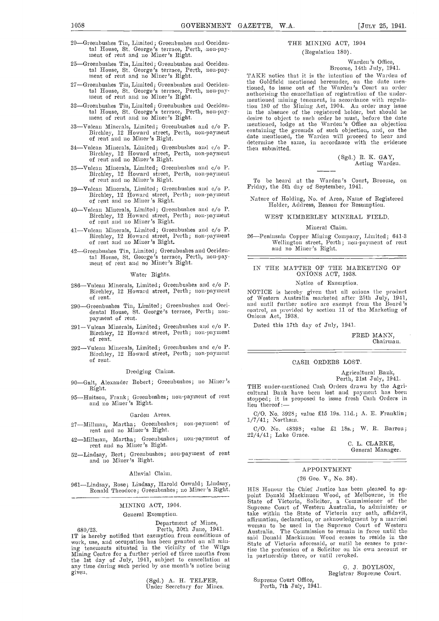- 20—Greenbushes Tin, Limited; Greenbushes and Occidental House, St. George's terrace, Perth, non-pay-<br>ment of rent and no Miner's Right.
- -Greenbushes Tin, Limited; Greenbushes and Occidental House, St. Gem-ge's terrace, Perth, non-pay- ment of rent and no Miner's Right.
- 27-Greenbushes Tin, Limited; Greenbushes and Occidental House, St. George's terrace, Perth, non-pay- mont of rent and no Miner's Right.
- 32—Greenbushes Tin, Limited; Greenbushes and Occiden-<br>tal House, St. George's terrace, Perth, non-pay-<br>in ment of rent and no Miner's Right.
- 33-Vulcan Minerals, Limited; Greenbushes and c/o P.
- 34—Vulean Minerals, Limited; Greenbushes and c/o P. Birchley, 12 1{oward street, Perth, non-payment of rent and no Miner's Right.
- 35-Vulcan Minerals, Limited; Greenbushes and c/o P. Birchley, 12 Howard, street, Perth, non-payment of rent and no Miner's Right.
- 39—Vulcan Minerals, Limited; Greenbushes and c/o P. Birchley, 12 Howard street, Perth; non-payment of rent and no Miner's Right.
- 40-Vulcan Minerals, Limited; Greenbushes and c/o P. Birchley, 12 Howard street, Perth; non-payment of rent and no Miner's Right.
- 41-Vulcan Minerals, Limited; Greenbushes and c/o P. Birchley, 12 Howarc1 street, Perth; non-payment of rent and no Miner's Right.
- 42—Greenbushes Tin, Limited; Greenbushes and Occidental House, St. George's terrace, Perth, non-pay-<br>ment of rent and no Miner's Right.

#### Water Rights.

- 286-Vulcan Minerals, Limited; Greenbushes and c/o P.
- 290—Greenbushes Tin, Limited; Greenbushes and Occi-<br>dental House, St. George's terrace, Perth; non-<br>payment of rent.
- 291-Vulcan Minerals, Limited; Greenbushes and c/o P. Birchley, 12 Howard street, Perth; non-payment of rent.
- 292-Vulcan Minerals, Limited; Greenbushes and c/o P. Birchley, 12 Howard street, Perth; non-payment of rent.

### Dredging Claims.

- 90-Galt, Alexander Robert; Greenbushes; no Miner's Right.
- 95-Huitson, Frank; Greenbushes; non-payment of rent and no Miner's Right.

#### Garden Areas.

27-Millman, Martha; Greenbushes; non-payment of rent and no Miner 's Right.

42-Millman, Martha; Greenbushes; non-payment of rent and no Miner's Right.

52-Lindsay, Bert; Greenbushes; non-payment of rent and no Miner's Right.

#### Alluvial Claim.

961-Lindsay, Rose; Lindsay, Harold Oswald; Lindsay, Ronald Theodore; Greenbushes; no Miner's Right.

# MINING ACT, 1904.

#### General Exemption.

Department of Mines,

680/23. Perth, 30th June, 1941. IT is hereby notified that exemption from conditions of work, use, and occupation has been granted on all mining tenements situated in the vicinity of the Wilga State or v<br>Mining Centre for a further period of three months from the period in the 1st day of July,  $1941$ , subject to cancellation at any time during such period by one month's notice being given.

(Sgd.) A. H. TELFER, Under Secretary for Mines.

# THE MINING ACT, 1904 (Regulation 180).

# Warden 's Office,

Birchley, 12 Howard street, Perth, non-payment containing the grounds of such objection, and, on the date mentioned, the Warden will proceed to hear and no Miner's Right. Broome, 14th July, 1941. TAKE notice that it is the intention of the Warden of the Goldfield mentioned hereunder, on the date mentioned, to issue out of the Warden's Court an order authorising the cancellation of registration of the under-<br>mentioned mining tenement, in accordance with regulation 180 of the Mining Act, 1904. An order may issue in the absence of the registered holder, but should he desire to object to such order he must, before the date mentioned, lodge at the Warden's Office an objection containing the grounds of such objection, and, on the date mentioned, the Warden will proceed to hear and determine the same, in accordance with the evidence then submitted.

(Sgd.) B.. K. GAY, Acting Warden.

To be heard at the Warden's Court, Broome, on Friday, the 5th day of September, 1941.

Nature of Holding, No. of Area, Name of Registered Holder, Address, Reason for Resumption.

### WEST KIMBERLEY MINERAL FIELD.

#### Mineral Claim.

26—Peninsula Copper Mining Company, Limited; 641-3 Wellington street, Perth; non-payment of rent and no Miner's Right.

# IN THE MATTER OF THE MARKETING OF ONIONS ACT, 1938.

# Notice of Exemption.

Birchley, 12 Howard street, Perth; non-payment NOTICE is hereby given that all onions the product of rent.<br>of Western Australia marketed after 25th July, 1941, of Western Australia marketed after 25th July, 1941,<br>and until further notice are exempt from the Board's<br>control, as provided by section 11 of the Marketing of<br>Onions Act, 1938.

Dated this 17th day of July, 1941.

FRED MANN, Chairman.

### CASH ORDERS LOST.

Agricultural Bank, Perth, 21st July, 1941.

THE under-mentioned Cash Orders drawn by the Agri- cultural Bank have becmi lost and payment has been stopped; it is proposed to issue fresh Cash Orders in lieu thereof:-

(i/O. No. 3928; value £15 19s. lid.; A. E. Franklin;  $1/7/41$ ; Northam.

 $C/O.$  No.  $48398$ ; value £1 18s.; W. R. Barron;  $22/4/41$ ; Lake Grace.

> C. L. CLARKE, General Manager.

# APPOINTMENT

# (26 Geo. V., No. 36).

HIS Honour the Chief Justice has been pleased to appoint Donald Mackinnon Wood, of Melbourne, in the State of Victoria, Solicitor, a Commissioner of the<br>Supreme Court of Western Australia, to administer or take within the State of Victoria any oath, affidavit, affirmation, declaration, or acknowledgment by a married woman to be used in the Supi-enie Coum-t of Western Australia. The Commission to remain in force until the said Donald Mackinnon Wood ceases to reside in the State of Victoria aforesaid, or until he ceases to practise the profession of a Solicitor on his own account or in partnership there, or until revoked.

> G. J. BOYLSON, Registrar Supreme Court.

Suprenie Court Office, Perth, 7th July, 1941.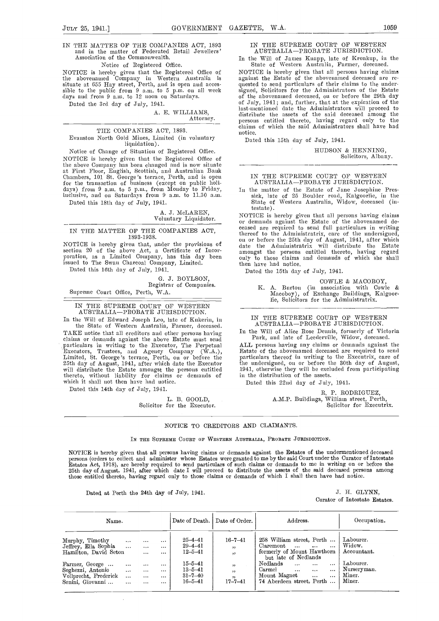IN THE MATTER OF THE COMPANIES ACT, 1893 and in the matter of Federated Retail Jewellers' Association of the Commonwealth.

### Notice of Registered Office.

NOTICE is hereby given that the Registered Office of the abovenamed Company in Western Australia is situate at 655 Hay street, Perth, and is open and acces- queste<br>sible to the public from 9 a.m. to 5 p.m. on all week signed days and from 9 am, to 12 noon on Saturdays. Dated the 3rd day of July, 1941.

# A. E. WILLIAMS, Attorney.

#### THE COMPANIES ACT, 1893.

Evanston North Gold Mines, Limited (in voluntary liquidation).

Notice of Change of Situation of Registered Office. NOTICE is hereby given that the Registered Office of the above Company has been changed and is now situate the above Company has been changed and is now situate at First Floor, English, Scottish, and Australian Bank Chambers, 101 St. George's terrace, Perth, and is open for the transaction of business (except on public holidays) from 9 n.m. to 5 p.m., from Monday to Friday, inclusive, and on Saturdays from 9 n.m. to 11.30 am.

Dated this 18th day of July, 1941.

### A. J. MCLAREN, Voluntary Liquidator.

# IN THE MATTER OF THE COMPANIES ACT, 1893-1938.

NOTICE is hereby given that, under the provisions of section 20 of the above Act, a Certificate of Incorporation, as a Limited Company, has this day been issued to The Swan Charcoal Company, Linuted. Dated this 16th day of July, 1941.

0. J. BOYLSON, Registrar of Companies.

# Supreme Court Office, Perth, W.A.

# IN THE SUPREME COURT OF WESTERN AUSTRALIA-PROBATE JURISDICTION.

In the Will of Edward Joseph Leo, late of Kukerin, in the State of Western Australia, Farmer, deceased. TAKE notice that all creditors and other persons having In the Will of Alice Rose Dennis, formerly of Victo<br>claims or demands against the above Estate must send Park, and late of Leederville, Widow, deceased. elainis or demands against the above Estate must send pai'ticilars in writing to the Executor, The Perpetual Executors, Trustees, and Agency Company (W.A.), Estat<br>Limited, St. George's terrace, Perth, on or before the partic<br>25th day of August, 1941, after which date the Executor the n<br>will distribute the Estate amongst the perso thereto, without liability for claims or demands of which it shall not then have had notice.

Dated this 14th day of July, 1941.

L. B. GOOLD, Solicitor for the Executor. IN THE SUPREME COURT OF WESTERN AUSTRALIA-PROBATE JURISDICTION.

In the Will of James Knapp, late of Kronkup, in the State of Western Australia, Farmer, deceased.

NOTICE is hereby given that all persons having claims against the Estate of the abovenamed deceased are reagainst the Estate of the abovenamed deceased are requested to send particulars of their claims to the under-<br>signed, Solicitors for the Administrators of the Estate<br>of the abovenamed deceased, ou or before the 29th day<br>of last-mentioned date the Afinministrators will proceed to distribute the assets of the said deceased among the persons entitled thereto, having regard only to the claims of which the said Administrators shall have had notice.

Dated this 15th day of July, 1941.

HUDSON & HENNING, Solicitors, Albany.

# IN THE SUPREME COURT OF WESTERN AUSTRALIA-PROBATE JURISDICTION.

In the matter of the Estate of Jane Josephine Pressick, late of 25 Boulder road, Kalgoorlie, in the State of Western Australia, Widow, deceased (intestate).

NOTICE is hereby given that all persons having claims or demands against the Estate of the abovenamed de-<br>ceased are required to send full particulars in writing<br>thereof to the Administratrix, care of the undersigned, on or before the 25th day of August, 1941, after which date the Athuministratrix will distribute the Estate amongst the persons entitled thereto, having regard only to those claims and demands of which she shall then have had notice.

Dated the 15th day of July, 1941.

COWLE & MACOBOY, K. A. Burton (iii association with Cowle & Macoboy), of Exchange Buildings, Kahgoor-lie, Solicitors for the Administratrix.

# IN THE SUPREME COURT OF WESTERN AUSTRALIA-PROBATE JURISDICTION.

In the Will of Alice Rose Dennis, formerly of Victoria Park, and late of Leederville, Widow, deceased. ALL persons having any claims or demands against the

ALL persons having any claims or demands against the Estate of the abovenamed deceased are required to send particulars thes-eof in writing to the Executrix, care of the undersigned, on or before the 30th day of August,<br>1941, otherwise they will be excluded from participating in the distribution of the assets.

Dated this 22nd day of July, 1941.

R. P. RODRIGUEZ, A.M.P. Buildings, William street, Perth, Solicitor for Executrix.

# NOTICE TO CREDITORS AND CLAIMANTS.

# IN THE SUPREME COURT OF WESTERN AUSTRALIA, PROBATE JURISDICTION.

NOTICE is hereby given that all persons having claims or demands against the Estates of the undermentioned deceased persons (orders to collect and administer whose Estates were granted to me by the said Court under the Curator of Intestate<br>Estates Act, 1918), are hereby required to send particulars of such claims or demands to me in wri those entitled thereto, having regard only to those claims or demands of which I shall then have had notice.

Dated at Perth the 24th day of July, 1941.  $J. H. GLYNN$ ,

 $\bar{\lambda}$ 

Curator of Intestate Estates.

| Name.                                                                            |                                              |                                              |                                              |                                                                  | Date of Death.   Date of Order.   | Address.                                                                                                                                                        | Occupation.                                  |  |
|----------------------------------------------------------------------------------|----------------------------------------------|----------------------------------------------|----------------------------------------------|------------------------------------------------------------------|-----------------------------------|-----------------------------------------------------------------------------------------------------------------------------------------------------------------|----------------------------------------------|--|
| Murphy, Timothy<br>Jeffrey, Ella Sophia<br>Hamilton, David Seton                 | $\cdots$<br>$\ddotsc$                        | <br>$\cdots$<br>$\cdots$                     | $\cdots$<br>$\cdots$<br>$\cdots$             | $25 - 4 - 41$<br>$29 - 4 - 41$<br>$12 - 5 - 41$                  | $16 - 7 - 41$<br>, ,<br>, ,       | 258 William street, Perth<br>Claremont<br>$\sim$ $\sim$ $\sim$ $\sim$ $\sim$ $\sim$ $\sim$<br>$\cdots$<br>formerly of Mount Hawthorn<br>but late of Nedlands    | Labourer.<br>Widow.<br>Accountant.           |  |
| Farmer, George<br>Seghezzi, Antonio<br>Vollprecht, Frederick<br>Senini, Giovanni | $\cdots$<br>$\cdots$<br>$\cdots$<br>$\cdots$ | $\cdots$<br>$\cdots$<br>$\cdots$<br>$\cdots$ | $\cdots$<br>$\cdots$<br>$\cdots$<br>$\cdots$ | $15 - 5 - 41$<br>$13 - 5 - 41$<br>$31 - 7 - 40$<br>$16 - 5 - 41$ | , ,<br>, ,<br>,,<br>$17 - 7 - 41$ | Nedlands<br>$\cdots$<br>$\cdots$<br>$\cdots$<br>Carmel<br>$\cdots$<br>$\cdots$<br>$\cdots$<br>Mount Magnet<br>$\cdots$<br>$\cdots$<br>74 Aberdeen street, Perth | Labourer.<br>Nurseryman.<br>Miner.<br>Miner. |  |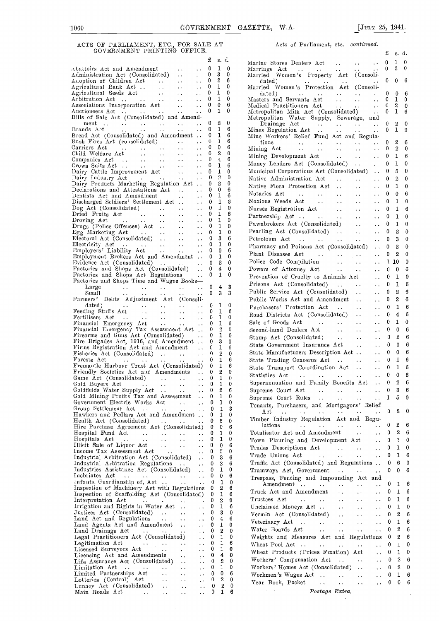# ACTS OF PARLIAMENT, ETC., FOR SALE AT Acts of Parliament, etc.-continued. GOVERNMENT PRINTING OFFICE.

|                                                                                                                                                                                                                                                                                                                                                                                                                                                                               |                         |                         | £            | s. d.            |          | Marine Stores 1                  |
|-------------------------------------------------------------------------------------------------------------------------------------------------------------------------------------------------------------------------------------------------------------------------------------------------------------------------------------------------------------------------------------------------------------------------------------------------------------------------------|-------------------------|-------------------------|--------------|------------------|----------|----------------------------------|
| Abattoirs Act and Amendment<br>Administration Act (Consolidated)                                                                                                                                                                                                                                                                                                                                                                                                              |                         | $\sim$ $\sim$           | 0            | 1<br>0           |          | Marriage Act                     |
|                                                                                                                                                                                                                                                                                                                                                                                                                                                                               |                         | $\ddot{\phantom{0}}$    | 0            | 3<br>0           |          | Married Wome                     |
| Adoption of Children Act<br>Adoption of Children Act<br>Agricultural Bank Act<br>Agricultural Seeds Act<br>Arbitration Act<br>Associations Incorporation Act<br>Auctioneers Act<br>Andre Consolidated and American Bills of Sela Act (Consol                                                                                                                                                                                                                                  |                         | $\ddot{\phantom{a}}$    | 0            | 2<br>6           |          | dated)                           |
|                                                                                                                                                                                                                                                                                                                                                                                                                                                                               |                         | $\sim$ $\sim$           | 0            | 1<br>0           |          | Married Womer                    |
|                                                                                                                                                                                                                                                                                                                                                                                                                                                                               |                         | $\ddot{\phantom{a}}$    | 0            | 1<br>0           |          | dated)                           |
|                                                                                                                                                                                                                                                                                                                                                                                                                                                                               |                         | $\sim$ $\sim$           | 0            | 1<br>0           |          | Masters and Se                   |
|                                                                                                                                                                                                                                                                                                                                                                                                                                                                               |                         | $\sim$ $\sim$           | 0            | 0<br>6           |          | Medical Practit                  |
|                                                                                                                                                                                                                                                                                                                                                                                                                                                                               |                         | $\ddot{\phantom{1}}$    | 0            | 1<br>0           |          | Metropolitan M                   |
| Bills of Sale Act (Consolidated) and Amend-                                                                                                                                                                                                                                                                                                                                                                                                                                   |                         |                         |              |                  |          | Metropolitan W                   |
| ment                                                                                                                                                                                                                                                                                                                                                                                                                                                                          |                         |                         | 0            | 0<br>2           |          | Drainage A                       |
| $\begin{array}{ccccccccc}\n\cdots & \cdots & \cdots & \cdots & \cdots & \cdots & \cdots \\ \vdots & \vdots & \ddots & \cdots & \cdots & \cdots & \cdots & \cdots\n\end{array}$<br>Brands Act                                                                                                                                                                                                                                                                                  |                         |                         | 0            | 1                | 6        | Mines Regulatio                  |
| Bread Act (Consolidated) and Amendment                                                                                                                                                                                                                                                                                                                                                                                                                                        |                         |                         | 0            | 1                | 6        | Mine Workers'                    |
| Bush Fires Act (consolidated)<br>Carriers Act (and the conservation of the conservation of the conservation of the conservation of the conservation of the conservation of the conservation of the conservation of the conservati                                                                                                                                                                                                                                             |                         |                         | 0            | 1                | 6        | tions                            |
|                                                                                                                                                                                                                                                                                                                                                                                                                                                                               |                         |                         | 0            | 0                | 6        | Mining Act                       |
|                                                                                                                                                                                                                                                                                                                                                                                                                                                                               |                         |                         | 0            | 2                | $\bf{0}$ | Mining Develop                   |
|                                                                                                                                                                                                                                                                                                                                                                                                                                                                               |                         |                         | 0            | 4                | 6        |                                  |
|                                                                                                                                                                                                                                                                                                                                                                                                                                                                               |                         |                         | 0            | 1                | 6        | Money Lenders                    |
|                                                                                                                                                                                                                                                                                                                                                                                                                                                                               |                         |                         | 0            | 1                | 0        | Municipal Corpo                  |
| Companies Act<br>Crown Suits Act<br>Crown Suits Act<br>Dairy Cattle Improvement Act<br>Dairy Industry Act<br>Dairy Products Marketing Regulation Act<br>                                                                                                                                                                                                                                                                                                                      |                         |                         | 0            | $\overline{2}$   | 0        | Native Adminis                   |
|                                                                                                                                                                                                                                                                                                                                                                                                                                                                               |                         |                         | 0            | 2                | 0        | Native Flora P                   |
|                                                                                                                                                                                                                                                                                                                                                                                                                                                                               |                         |                         | 0            | 0                | 6        |                                  |
|                                                                                                                                                                                                                                                                                                                                                                                                                                                                               |                         |                         | 0            | 1                | 6        | Notaries Act                     |
|                                                                                                                                                                                                                                                                                                                                                                                                                                                                               |                         |                         | 0            | 1                | 6        | Noxious Weeds                    |
| Dog Act (Consolidated)<br>Dried Fruits Act (2004)                                                                                                                                                                                                                                                                                                                                                                                                                             |                         | $\sim$ $\sim$           | 0            | 1                | 0        | Nurses Registra                  |
|                                                                                                                                                                                                                                                                                                                                                                                                                                                                               |                         | $\sim$ $\sim$           | 0            | 1                | 6        |                                  |
| Droving Act<br>Drugs (Police Offences) Act                                                                                                                                                                                                                                                                                                                                                                                                                                    |                         | $\ddotsc$               | 0            | 1                | 0        | Partnership Ac                   |
|                                                                                                                                                                                                                                                                                                                                                                                                                                                                               |                         | $\ddot{\phantom{1}}$ .  | 0            | 1                | 0        | Pawnbrokers A                    |
| Eige Marketing Act (Consolidated)<br>Eige Marketing Act (Consolidated)<br>Electoral Act (Consolidated)<br>Electricity Act (Consolidated)<br>Employers' Liability Act (Consolidated)<br>Employment Brokers Act and Amendment (Consolidate                                                                                                                                                                                                                                      |                         |                         | 0            | 1                | 0        | Pearling Act (                   |
|                                                                                                                                                                                                                                                                                                                                                                                                                                                                               |                         |                         | 0            | 3                | 6        | Petroleum Act                    |
|                                                                                                                                                                                                                                                                                                                                                                                                                                                                               |                         |                         | 0            | 1                | 0        |                                  |
|                                                                                                                                                                                                                                                                                                                                                                                                                                                                               |                         |                         | 0            | 0                | 6        | Pharmacy and 1                   |
|                                                                                                                                                                                                                                                                                                                                                                                                                                                                               |                         |                         | 0            | 1                | 0        | Plant Diseases                   |
| Evidence Act (Consolidated)                                                                                                                                                                                                                                                                                                                                                                                                                                                   |                         |                         | 0            | 2                | 0        | Police Code Co                   |
|                                                                                                                                                                                                                                                                                                                                                                                                                                                                               |                         | $\sim$ .                | 0            | $\overline{4}$   | 0        |                                  |
| Factories and Shops Act (Consolidated)                                                                                                                                                                                                                                                                                                                                                                                                                                        |                         | $\ddot{\phantom{a}}$    |              |                  | 0        | Powers of Atto                   |
| Factories and Shops Act Regulations                                                                                                                                                                                                                                                                                                                                                                                                                                           |                         | $\ddot{\phantom{a}}$ .  | 0            | 1                |          | Prevention of 0                  |
| Factories and Shops Time and Wages Books-                                                                                                                                                                                                                                                                                                                                                                                                                                     |                         |                         |              |                  |          | Prisons Act (0                   |
| Large<br>المعادل المعادل المعادل المعادل .<br>الوجه المنعم المعادل المعادل المعادل                                                                                                                                                                                                                                                                                                                                                                                            |                         | $\ddot{\phantom{a}}$    | 0            | $\bf{4}$         | 3        | Public Service                   |
| Small                                                                                                                                                                                                                                                                                                                                                                                                                                                                         |                         | $\ddot{\phantom{a}}$    | 0            | 3                | 3        |                                  |
| Farmers' Debts Adjustment Act (Consoli-                                                                                                                                                                                                                                                                                                                                                                                                                                       |                         |                         |              |                  |          | Public Works A                   |
| dated)<br>Feeding Stuffs Act<br>Fertilisers Act<br>Financial Emergency Act<br>Financial Emergency Tax Assessment Act<br>Financial Emergency Tax Assessment Act                                                                                                                                                                                                                                                                                                                |                         |                         | 0            | 1                | 0        | Purchasers' Pr                   |
|                                                                                                                                                                                                                                                                                                                                                                                                                                                                               |                         |                         | 0            | 1                | 6        | Road Districts                   |
|                                                                                                                                                                                                                                                                                                                                                                                                                                                                               |                         |                         | 0            | 1                | 0        |                                  |
|                                                                                                                                                                                                                                                                                                                                                                                                                                                                               |                         | $\ddotsc$               | 0            | 1                | 6        | Sale of Goods                    |
|                                                                                                                                                                                                                                                                                                                                                                                                                                                                               |                         |                         | 0            | $\,2$            | 0        | Second-hand De                   |
| Firearms and Guns Act (Consolidated)                                                                                                                                                                                                                                                                                                                                                                                                                                          |                         | $\sim 100$ km s $^{-1}$ | 0            | 1                | 0        | Stamp Act (Co                    |
| Fire Brigades Act, 1916, and Amendment                                                                                                                                                                                                                                                                                                                                                                                                                                        |                         |                         | 0            | 3                | 0        | State Governme                   |
| Firms Registration Act and Amendment                                                                                                                                                                                                                                                                                                                                                                                                                                          |                         | $\sim 100$ km s $^{-1}$ | 0            | 1                | 6        |                                  |
| Fisheries Act (Consolidated)  .                                                                                                                                                                                                                                                                                                                                                                                                                                               |                         | $\sim 10^{-11}$         | $\mathbf{v}$ | 2                | 0        | State Manufact                   |
| Forests Act<br>$\sim$ $\sim$<br>$\sim 100$ km s $^{-1}$<br>$\rightarrow$ $\rightarrow$                                                                                                                                                                                                                                                                                                                                                                                        | $\ddot{\phantom{0}}$    | $\sim 10^{-10}$         | $\mathbf{0}$ | 1                | 6        | State Trading                    |
| Fremantle Harbour Trust Act (Consolidated) 0                                                                                                                                                                                                                                                                                                                                                                                                                                  |                         |                         |              | 1                | 6        | State Transpor                   |
| Friendly Societies Act and Amendments  0                                                                                                                                                                                                                                                                                                                                                                                                                                      |                         |                         |              | 2                | 0        | Statistics Act                   |
| Game Act (Consolidated)                                                                                                                                                                                                                                                                                                                                                                                                                                                       |                         |                         | $\mathbf{0}$ | 1                | 0        |                                  |
| Gold Buyers Act<br>$\sim 10^{-10}$<br>$\sim 100$ km s $^{-1}$                                                                                                                                                                                                                                                                                                                                                                                                                 | $\cdots$                |                         |              | $0\quad 1$       | 0        | Superannuation                   |
| Goldfields Water Supply Act                                                                                                                                                                                                                                                                                                                                                                                                                                                   | $\sim$ $\sim$           | $\sim$ .                | 0            | 2                | 6        | Supreme Court                    |
| Gold Mining Profits Tax and Assessment                                                                                                                                                                                                                                                                                                                                                                                                                                        |                         |                         | 0            | 1                | 0        | Supreme Court                    |
| Government Electric Works Act.                                                                                                                                                                                                                                                                                                                                                                                                                                                |                         | $\ddot{\phantom{a}}$ .  | 0            | 1                | 0        |                                  |
| Group Settlement Act<br>$\sim 100$ km $^{-1}$                                                                                                                                                                                                                                                                                                                                                                                                                                 | $\ddotsc$               | $\ddot{\phantom{1}}$    | 0            | 1                | 3        | Tenauts, Purch                   |
| Hawkers and Pedlars Act and Amendment                                                                                                                                                                                                                                                                                                                                                                                                                                         |                         |                         | 0            | 1                | 0        | $_{\rm Act}$<br>$\sim$ 100 $\pm$ |
| Health Act (Consolidated)                                                                                                                                                                                                                                                                                                                                                                                                                                                     | and the contract of the | $\cdots$                | 0            | 5                | 0        | Timber Industi                   |
| Hire Purchase Agreement Act (Consolidated)                                                                                                                                                                                                                                                                                                                                                                                                                                    |                         |                         | 0            | 0                | 6        | lations                          |
|                                                                                                                                                                                                                                                                                                                                                                                                                                                                               | $\ddot{\phantom{1}}$    | $\ddot{\phantom{1}}$    | 0            | 1                | 0        | Totalisator Act                  |
| Hospital Fund Act<br>Hospitals Act<br>Illicit Sale of Liquor Act                                                                                                                                                                                                                                                                                                                                                                                                              | $\sim$ $\sim$           | $\ddot{\phantom{0}}$    | 0            | 1                | 0        | Town Planning                    |
|                                                                                                                                                                                                                                                                                                                                                                                                                                                                               | $\sim 100$ $\mu$        | $\ddot{\phantom{a}}$    | 0            | 0                | 6        |                                  |
| Income Tax Assessment Act<br>$\sim$ 100 $\pm$                                                                                                                                                                                                                                                                                                                                                                                                                                 |                         | $\ddot{\phantom{1}}$ .  | 0            | 5                | 0        | Trades Descrip                   |
| Industrial Arbitration Act (Consolidated)                                                                                                                                                                                                                                                                                                                                                                                                                                     |                         | $\ddotsc$               | 0            | 3                | 6        | Trade Unions                     |
| Industrial Arbitration Regulations                                                                                                                                                                                                                                                                                                                                                                                                                                            |                         | $\ddotsc$               | 0            | $\boldsymbol{2}$ | 6        | Traffic Act (Co                  |
| Industries Assistance Act (Consolidated)                                                                                                                                                                                                                                                                                                                                                                                                                                      |                         | $\ddotsc$               | 0            | 1                | 0        |                                  |
| Inebriates Act                                                                                                                                                                                                                                                                                                                                                                                                                                                                |                         |                         | 0            | 0                | 6        | Tramways Act.                    |
| Inebriates Act<br>Infants. Guardianship of, Act                                                                                                                                                                                                                                                                                                                                                                                                                               |                         | $\sim$                  | 0            | 1                | 0        | Trespass, Fenc                   |
|                                                                                                                                                                                                                                                                                                                                                                                                                                                                               |                         | $\ddotsc$               | 0            | 2                | 6        | Amendmen                         |
| Inspection of Machinery Act with Regulations                                                                                                                                                                                                                                                                                                                                                                                                                                  |                         |                         | 0            | 1                | 6        | Truck Act and                    |
| Inspection of Scaffolding Act (Consolidated)                                                                                                                                                                                                                                                                                                                                                                                                                                  |                         |                         | 0            | 2                | 0        | Trustees Act                     |
| Interpretation Act<br>Irrigation and Rights in Water Act                                                                                                                                                                                                                                                                                                                                                                                                                      |                         | $\ddot{\phantom{0}}$    | 0            | 1                | 6        |                                  |
|                                                                                                                                                                                                                                                                                                                                                                                                                                                                               |                         | $\ddot{\phantom{0}}$    |              | 3                |          | Unclaimed Mor                    |
| Justices Act (Consolidated)<br>$\sim 100$ km $^{-1}$                                                                                                                                                                                                                                                                                                                                                                                                                          | $\ddot{\phantom{1}}$    | . .                     | 0            |                  | 0        | Vermin Act (                     |
| Land Act and Regulations                                                                                                                                                                                                                                                                                                                                                                                                                                                      | $\ddot{\phantom{a}}$ .  | . .                     | 0            | 4                | 6        | Veterinary Act                   |
| Land Agents Act and Amendment                                                                                                                                                                                                                                                                                                                                                                                                                                                 | $\sim$ .                | $\ddot{\phantom{0}}$    | 0            | 1                | 0        | Water Boards                     |
| Land Drainage Act<br><b>Contract Contract</b>                                                                                                                                                                                                                                                                                                                                                                                                                                 | $\ddot{\phantom{a}}$ .  | $\ddot{\phantom{0}}$    | 0            | 2                | 0        |                                  |
| Legal Practitioners Act (Consolidated)                                                                                                                                                                                                                                                                                                                                                                                                                                        |                         | . .                     | 0            | 1                | 0        | Weights and                      |
| Legitimation Act<br>Legitimation Act<br>Licensed Surveyors Act                                                                                                                                                                                                                                                                                                                                                                                                                | $\sim$ 100 $\pm$        | $\ddot{\phantom{0}}$    | 0            | 1                | 6        | Wheat Pool Ac                    |
|                                                                                                                                                                                                                                                                                                                                                                                                                                                                               | $\bullet$ .             | $\ddot{\phantom{1}}$    | 0            | 1                | 0        | Wheat Product                    |
| Licensing Act and Amendments                                                                                                                                                                                                                                                                                                                                                                                                                                                  | $\ddot{\phantom{0}}$    | . .                     | 0            | 4                | 0        | Workers' Comp                    |
| Life Assurance Act (Consolidated)                                                                                                                                                                                                                                                                                                                                                                                                                                             |                         | . .                     | 0            | 2                | 0        |                                  |
| Limitation Act  .<br>$\rightarrow$ $\rightarrow$                                                                                                                                                                                                                                                                                                                                                                                                                              | $\ddotsc$               | $\ddot{\phantom{1}}$    | 0            | 1                | 0        | Workers' Home                    |
| Limited Partnerships Act<br>$\ddot{\phantom{a}}$                                                                                                                                                                                                                                                                                                                                                                                                                              | $\ddot{\phantom{0}}$    | $\ddot{\phantom{0}}$    | 0            | 0                | 6        | Workmen 's Wa                    |
| Lotteries (Control) Act<br>Lotteries (Control) Act<br>Lunacy Act (Consolidated)                                                                                                                                                                                                                                                                                                                                                                                               | $\ddotsc$               | $\ddot{\phantom{0}}$    | 0            | 2                | 0        | Year Book, P                     |
|                                                                                                                                                                                                                                                                                                                                                                                                                                                                               | $\ddotsc$               | $\ddot{\phantom{1}}$    | 0            | $\boldsymbol{2}$ | 0        |                                  |
| Main Roads Act<br>$\mathcal{L}(\mathcal{L}(\mathcal{L}(\mathcal{L}(\mathcal{L}(\mathcal{L}(\mathcal{L}(\mathcal{L}(\mathcal{L}(\mathcal{L}(\mathcal{L}(\mathcal{L}(\mathcal{L}(\mathcal{L}(\mathcal{L}(\mathcal{L}(\mathcal{L}(\mathcal{L}(\mathcal{L}(\mathcal{L}(\mathcal{L}(\mathcal{L}(\mathcal{L}(\mathcal{L}(\mathcal{L}(\mathcal{L}(\mathcal{L}(\mathcal{L}(\mathcal{L}(\mathcal{L}(\mathcal{L}(\mathcal{L}(\mathcal{L}(\mathcal{L}(\mathcal{L}(\mathcal{L}(\mathcal{$ | $\sim$ $\sim$           | $\ddot{\phantom{1}}$    | 0            | 1                | 6        |                                  |

|        |                              |                 |                                                                                                                                                                                                                                                                                                              | £                          | s. d.             |                   |  |
|--------|------------------------------|-----------------|--------------------------------------------------------------------------------------------------------------------------------------------------------------------------------------------------------------------------------------------------------------------------------------------------------------|----------------------------|-------------------|-------------------|--|
| £      | s. d.                        |                 | Marine Stores Dealers Act                                                                                                                                                                                                                                                                                    | $\bf{0}$                   | 1                 | 0                 |  |
| 0      | $1 \quad 0$                  |                 | Marriage Act<br>Married Women's Property Act (Consoli-<br>$\sim 10^{-1}$                                                                                                                                                                                                                                     | $\mathbf{0}$               | $2^{\circ}$       | $\mathbf 0$       |  |
| 0<br>0 | 3<br>$^{2}$                  | $\bf{0}$<br>6   | dated)<br>and the contract of the                                                                                                                                                                                                                                                                            | $\mathbf{0}$               | $\mathbf{0}$      | 6                 |  |
| 0      | $\mathbf{1}$                 | $\bf{0}$        | Married Women's Protection Act (Consoli-                                                                                                                                                                                                                                                                     |                            |                   |                   |  |
| 0<br>0 | $\mathbf{1}$                 | $\bf{0}$<br>- 0 | dated)<br>Masters and Servants Act<br>Medical Practitioners Act<br><br>$\sim 100$ km s $^{-1}$                                                                                                                                                                                                               | $\mathbf{0}$               | 0                 | 6                 |  |
| 0      | $\mathbf{1}$<br>$\mathbf{0}$ | 6               | $\ldots$ 0 1<br>$\ldots$ 0 2                                                                                                                                                                                                                                                                                 |                            |                   | 0<br>0            |  |
| 0      | 1                            | 0               | Medical Practitioners Act (Consolidated)  0<br>Metropolitan Milk Act (Consolidated)  0                                                                                                                                                                                                                       |                            | $\mathbf{1}$      | 6                 |  |
| 0      | $2\quad 0$                   |                 | Metropolitan Water Supply, Sewerage, and                                                                                                                                                                                                                                                                     |                            |                   |                   |  |
| 0      | $\mathbf{1}$                 | 6               |                                                                                                                                                                                                                                                                                                              | $\mathbf{0}$<br>$0\quad 1$ | $\boldsymbol{2}$  | $\mathbf{0}$<br>9 |  |
| 0      | 1                            | 6               | Mine Workers' Relief Fund Act and Regula-                                                                                                                                                                                                                                                                    |                            |                   |                   |  |
| 0      | 1                            | 6               | tions                                                                                                                                                                                                                                                                                                        | $\mathbf{0}$               | 2                 | 6                 |  |
| 0<br>0 | $\mathbf{0}$<br>2            | 6<br>$\bf{0}$   |                                                                                                                                                                                                                                                                                                              | $\mathbf{0}$               | 2                 | 0                 |  |
| 0      | $\overline{4}$               | 6               | Mining Development Act 0                                                                                                                                                                                                                                                                                     |                            | 1                 | 6                 |  |
| 0      | 1                            | 6               | Money Lenders Act (Consolidated)  0<br>Municipal Corporations Act (Consolidated)  0                                                                                                                                                                                                                          |                            | 1<br>5            | 0<br>0            |  |
| 0<br>0 | 1<br>$\overline{2}$          | $\bf{0}$<br>0   | Native Administration Act                                                                                                                                                                                                                                                                                    | 0                          | 2                 | 0                 |  |
| 0      | $\boldsymbol{2}$             | 0               | Native Flora Protection Act<br>$\cdots$ 0                                                                                                                                                                                                                                                                    |                            | 1                 | $\bf{0}$          |  |
| 0<br>0 | $\bf{0}$<br>1                | 6<br>6          | $\sim 10^{-10}$                                                                                                                                                                                                                                                                                              | 0                          | 0                 | 6                 |  |
| 0      | 1                            | 6               | Notaries Act<br>Noxious Weeds Act<br>$\mathcal{A}(\mathcal{A})$ .                                                                                                                                                                                                                                            | $\mathbf{0}$               | 1                 | 0                 |  |
| 0      | 1                            | $\bf{0}$        | Nurses Registration Act.<br>$\sim 100$ km s $^{-1}$<br>$\sim 10^{-11}$                                                                                                                                                                                                                                       | 0                          | 1                 | 6                 |  |
| 0      | 1                            | 6               | Partnership Act<br>$\sim 10^{-11}$                                                                                                                                                                                                                                                                           | $\bf{0}$                   | 1                 | 0                 |  |
| 0<br>0 | 1<br>1                       | 0<br>0          | Pawnbrokers Act (Consolidated)<br>$\sim$ $\sim$                                                                                                                                                                                                                                                              | $\mathbf{0}$               | $\mathbf{1}$      | 0                 |  |
| 0      | 1                            | $\bf{0}$        | Pearling Act (Consolidated)<br>$\sim$ $\sim$                                                                                                                                                                                                                                                                 | $\bf{0}$                   | $\boldsymbol{2}$  | $\bf{0}$          |  |
| 0      | 3                            | 6               | Petroleum Act                                                                                                                                                                                                                                                                                                | $\cdots$ 0                 | 3                 | $\bf{0}$          |  |
| 0<br>0 | 1<br>0                       | 0<br>6          | Pharmacy and Poisons Act (Consolidated)  0                                                                                                                                                                                                                                                                   |                            | $\boldsymbol{2}$  | 0                 |  |
| 0      | 1                            | $\bf{0}$        | ${\bf Plant~Diseases~~Act~~.~~.~~.~~.~~.~~0}$                                                                                                                                                                                                                                                                |                            | $\boldsymbol{2}$  | 0                 |  |
| 0      | $\boldsymbol{2}$             | 0               | Police Code Compilation                                                                                                                                                                                                                                                                                      | $\ldots$ 1 10              |                   | 0                 |  |
| 0<br>0 | $\overline{4}$<br>1          | 0<br>0          | Powers of Attorney Act (1997)<br>Prevention of Cruelty to Animals Act (1998)                                                                                                                                                                                                                                 |                            | $\bf{0}$          | 6                 |  |
|        |                              |                 | Prisons Act (Consolidated)                                                                                                                                                                                                                                                                                   |                            | 1                 | 0<br>6            |  |
| 0      | $\bf{4}$                     | 3               | $\ldots$ 0<br>Public Service Act (Consolidated)<br>$\sim$ $\sim$                                                                                                                                                                                                                                             | $\mathbf{0}$               | 1<br>$\mathbf{2}$ | 6                 |  |
| 0      | 3                            | 3               | Public Works Act and Amendment<br>$\sim 10^{-1}$                                                                                                                                                                                                                                                             | $\mathbf{0}$               | $\boldsymbol{2}$  | 6                 |  |
| 0      | 1                            | $\bf{0}$        | Purchasers' Protection Act<br>$\ldots$ 0                                                                                                                                                                                                                                                                     |                            | 1                 | 6                 |  |
| 0      | 1                            | 6               | Road Districts Act (Consolidated)<br>$\sim 100$ km s $^{-1}$<br>$\mathbf{A} \cdot \mathbf{A}$ .                                                                                                                                                                                                              | $\bf{0}$                   | 4                 | 6                 |  |
| 0<br>0 | 1<br>1                       | 0<br>6          | Sale of Goods Act.<br>$\langle\cdot\, ,\cdot\rangle$<br>$\sim 10^{-11}$<br>$\sim 10^{-1}$                                                                                                                                                                                                                    | $\bf{0}$                   | $\mathbf{1}$      | 0                 |  |
| 0      | $\overline{2}$               | $\theta$        | $\frac{3200}{1000}$ $\frac{3200}{1000}$ $\frac{120}{1000}$ $\frac{120}{1000}$ $\frac{120}{1000}$ $\frac{120}{1000}$ $\frac{120}{1000}$ $\frac{120}{1000}$ $\frac{120}{1000}$ $\frac{120}{1000}$ $\frac{120}{1000}$ $\frac{120}{1000}$ $\frac{120}{1000}$ $\frac{120}{1000}$ $\frac{120}{1$<br>$\sim 10^{-1}$ | 0                          | 0                 | 6                 |  |
| 0<br>0 | 1<br>3                       | 0               | Stamp Act (Consolidated)<br>$\sim 10^{-10}$                                                                                                                                                                                                                                                                  | 0                          | 2                 | 6                 |  |
| 0      | 1                            | 0<br>-6         | State Government Insurance Act<br>$\cdots$                                                                                                                                                                                                                                                                   | $^{\circ}$                 | 0                 | 6                 |  |
| U      | $\boldsymbol{2}$             | $\mathbf{0}$    | State Manufacturers Description Act                                                                                                                                                                                                                                                                          |                            | 0                 | 6                 |  |
| 0      | 1                            | 6               | State Trading Concerns Act                                                                                                                                                                                                                                                                                   | $\bf{0}$                   | $\mathbf{I}$      | 6                 |  |
| 0<br>0 | 1<br>2                       | 6<br>0          | State Transport Co-ordination Act  0                                                                                                                                                                                                                                                                         |                            | $\mathbf{1}$      | 6                 |  |
|        | $0\quad1$                    | $\Omega$        | $\bar{\mathcal{L}}(\mathbf{x})$<br>Statistics Act<br><b>Contractor</b><br>$\sim 100$ km s $^{-1}$<br>$\sim$ $\sim$<br><b>Contract Contract</b>                                                                                                                                                               | $\bf{0}$                   | $\mathbf{0}$      | 6                 |  |
| 0      | 1                            | 0               | Superannuation and Family Benefits Act                                                                                                                                                                                                                                                                       | 0                          | 2                 | 6                 |  |
| 0<br>0 | 2<br>1                       | 6<br>0          | Supreme Court Act<br>$\ddot{\phantom{a}}$ .<br>$\ddot{\phantom{0}}$<br>$\ddot{\phantom{0}}$<br>$\ddot{\phantom{a}}$ .<br>Supreme Court Rules                                                                                                                                                                 | 0<br>1                     | 3<br>5            | 6<br>0            |  |
| 0      | 1                            | 0               | $\ddotsc$<br>$\ddotsc$<br>$\ddot{\phantom{0}}$<br>$\ddot{\phantom{a}}$<br>Tenants, Purchasers, and Mortgagors' Relief                                                                                                                                                                                        |                            |                   |                   |  |
| 0      | 1                            | 3               | $_{\rm Act}$<br>$\mathbf{v}$ , and $\mathbf{v}$ , and $\mathbf{v}$<br>$\sim 100$ km s $^{-1}$<br>$\bullet$ $\bullet$ .<br>$\ddot{\phantom{a}}$ .<br>$\ddot{\phantom{0}}$                                                                                                                                     | 0                          | $\boldsymbol{2}$  | 0                 |  |
| 0<br>0 | 1<br>5                       | 0<br>0          | Timber Industry Regulation Act and Regu-                                                                                                                                                                                                                                                                     |                            |                   |                   |  |
| 0      | 0                            | 6               | lations<br>$\sim 100$ km $^{-1}$<br>$\sim 10^{-1}$<br><b>Contract Contract</b><br>$\ddot{\phantom{0}}$<br>$\ddot{\phantom{a}}$                                                                                                                                                                               | 0                          | 2                 | 6                 |  |
| 0      | $\mathbf{1}$                 | 0               | Totalisator Act and Amendment<br>$\ddot{\phantom{a}}$<br>$\ddot{\phantom{a}}$                                                                                                                                                                                                                                | 0                          | 2                 | 6                 |  |
| 0<br>0 | 1<br>0                       | 0<br>6          | Town Planning and Development Act<br>$\ddot{\phantom{a}}$ .                                                                                                                                                                                                                                                  | 0                          | 1                 | 0                 |  |
| 0      | 5                            | 0               | Trades Descriptions Act<br>$\ddot{\phantom{a}}$<br>$\ddot{\phantom{1}}$ .<br>$\ddot{\phantom{0}}$                                                                                                                                                                                                            | 0                          | 1<br>1            | 0                 |  |
| 0      | 3<br>2                       | 6<br>6          | Trade Unions Act<br>$\sim 100$ km s $^{-1}$<br>$\ddot{\phantom{a}}$<br>$\ddotsc$<br>$\ddot{\phantom{a}}$<br>Traffic Act (Consolidated) and Regulations                                                                                                                                                       | 0<br>0                     | 6                 | 6<br>0            |  |
| 0<br>0 | 1                            | 0               | Tramways Act, Government<br>$\mathbf{r}$ , $\mathbf{r}$ , $\mathbf{r}$ , $\mathbf{r}$<br>$\ddot{\phantom{a}}$                                                                                                                                                                                                | 0                          | 0                 | 6                 |  |
| 0      | 0                            | 6               | Trespass, Fencing and Impounding Act and                                                                                                                                                                                                                                                                     |                            |                   |                   |  |
| 0      | 1                            | 0               | Amendment<br>$\ddot{\phantom{0}}$<br>$\ddot{\phantom{1}}$<br>$\ddot{\phantom{0}}$                                                                                                                                                                                                                            | 0                          | 1                 | 6                 |  |
| 0<br>0 | 2<br>1                       | 6<br>6          | Truck Act and Amendment<br>$\ddot{\phantom{a}}$<br>$\ddot{\phantom{0}}$<br>$\ddot{\phantom{0}}$                                                                                                                                                                                                              | 0                          | 1                 | 6                 |  |
| 0      | $\boldsymbol{2}$             | 0               | Trustees Act<br><b>Contractor</b><br>$\ddot{\phantom{0}}$<br>$\ddot{\phantom{1}}$<br>$\ddot{\phantom{0}}$<br>$\ddot{\phantom{0}}$                                                                                                                                                                            | 0                          | 1                 | 6                 |  |
| 0      | 1                            | 6               | Unclaimed Moneys Act<br>$\ddot{\phantom{1}}$ .<br>$\ddot{\phantom{a}}$<br>$\ddot{\phantom{0}}$                                                                                                                                                                                                               | 0                          | 1                 | 0                 |  |
| 0<br>0 | 3<br>4                       | 0<br>6          | Vermin Act (Consolidated)<br>$\ddotsc$<br>$\ddot{\phantom{1}}$<br>$\ddot{\phantom{0}}$                                                                                                                                                                                                                       | 0                          | $\boldsymbol{2}$  | 6                 |  |
| 0      | 1                            | 0               | Veterinary Act<br>$\ddot{\phantom{1}}$<br>$\ddot{\phantom{1}}$<br>$\ddot{\phantom{0}}$<br>$\ddot{\phantom{0}}$                                                                                                                                                                                               | 0                          | 1                 | 6                 |  |
| 0      | $\boldsymbol{2}$             | 0               | Water Boards Act<br>$\ddot{\phantom{a}}$<br>$\ddotsc$<br>$\ddot{\phantom{a}}$<br>$\ddot{\phantom{0}}$                                                                                                                                                                                                        | 0                          | $\boldsymbol{2}$  | 6                 |  |
| 0<br>0 | 1<br>1                       | 0<br>6          | Weights and Measures Act and Regulations                                                                                                                                                                                                                                                                     | 0                          | 2                 | 6                 |  |
| 0      | 1                            | 0               | Wheat Pool Act<br>$\ddot{\phantom{a}}$ .<br>$\ddot{\phantom{1}}$<br>$\ddot{\phantom{a}}$ .<br>$\ddot{\phantom{0}}$<br>Wheat Products (Prices Fixation) Act                                                                                                                                                   | 0<br>0                     | 1<br>1            | 0<br>0            |  |
| 0      | 4                            | 0               | $\ddot{\phantom{0}}$<br>Workers' Compensation Act<br>$\sim 10^{-10}$ km s $^{-1}$<br>$\ddotsc$<br>$\ddot{\phantom{1}}$                                                                                                                                                                                       | 0                          | $\boldsymbol{2}$  | 6                 |  |
| 0<br>0 | $\boldsymbol{2}$<br>1        | 0<br>0          | Workers' Homes Act (Consolidated).<br>$\ddotsc$                                                                                                                                                                                                                                                              | 0                          | $\boldsymbol{2}$  | 0                 |  |
| 0      | 0                            | 6               | Workmen's Wages Act<br>$\ddot{\phantom{0}}$<br>$\ddot{\phantom{1}}$                                                                                                                                                                                                                                          | 0                          | 1                 | 6                 |  |
| 0      | 2                            | 0               | Year Book, Pocket<br>$\sim 10^{-11}$<br>$\ddot{\phantom{a}}$<br>$\ddot{\phantom{0}}$<br>$\ddot{\phantom{0}}$                                                                                                                                                                                                 | 0                          | 0                 | 6                 |  |
| 0<br>0 | $\boldsymbol{2}$<br>1        | 0<br>6          | <b>Contract Contract</b><br>Postage Extra.                                                                                                                                                                                                                                                                   |                            |                   |                   |  |
|        |                              |                 |                                                                                                                                                                                                                                                                                                              |                            |                   |                   |  |